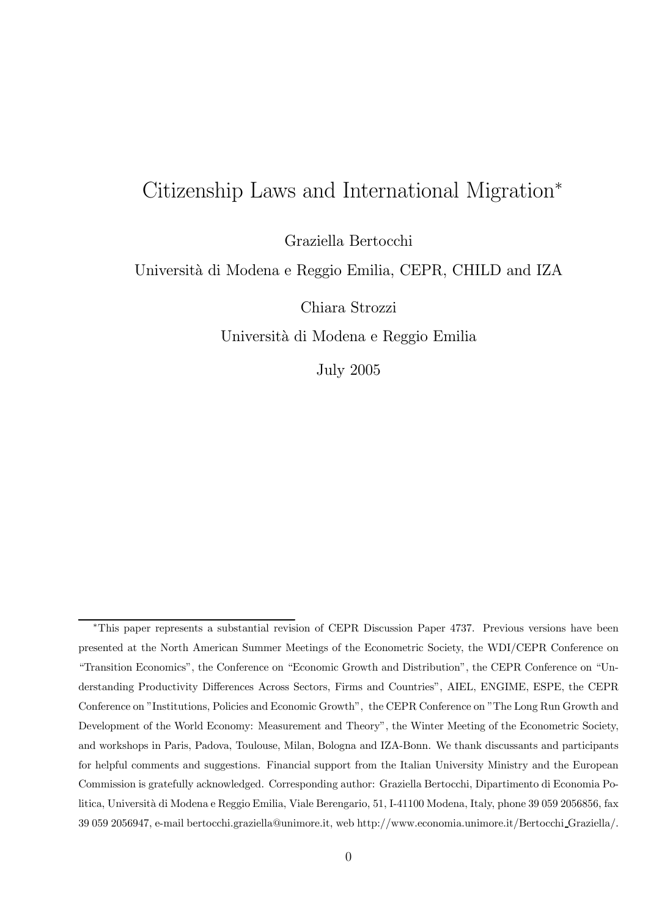# Citizenship Laws and International Migration<sup>∗</sup>

Graziella Bertocchi

Universit`a di Modena e Reggio Emilia, CEPR, CHILD and IZA

Chiara Strozzi

Universit`a di Modena e Reggio Emilia

July 2005

<sup>∗</sup>This paper represents a substantial revision of CEPR Discussion Paper 4737. Previous versions have been presented at the North American Summer Meetings of the Econometric Society, the WDI/CEPR Conference on "Transition Economics", the Conference on "Economic Growth and Distribution", the CEPR Conference on "Understanding Productivity Differences Across Sectors, Firms and Countries", AIEL, ENGIME, ESPE, the CEPR Conference on "Institutions, Policies and Economic Growth", the CEPR Conference on "The Long Run Growth and Development of the World Economy: Measurement and Theory", the Winter Meeting of the Econometric Society, and workshops in Paris, Padova, Toulouse, Milan, Bologna and IZA-Bonn. We thank discussants and participants for helpful comments and suggestions. Financial support from the Italian University Ministry and the European Commission is gratefully acknowledged. Corresponding author: Graziella Bertocchi, Dipartimento di Economia Politica, Università di Modena e Reggio Emilia, Viale Berengario, 51, I-41100 Modena, Italy, phone 39 059 2056856, fax 39 059 2056947, e-mail bertocchi.graziella@unimore.it, web http://www.economia.unimore.it/Bertocchi Graziella/.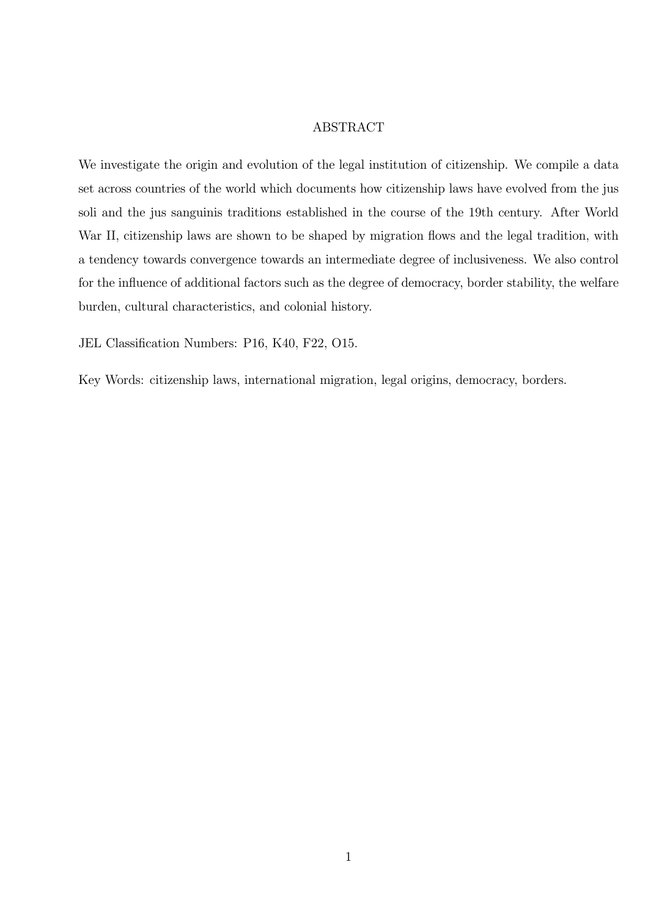#### ABSTRACT

We investigate the origin and evolution of the legal institution of citizenship. We compile a data set across countries of the world which documents how citizenship laws have evolved from the jus soli and the jus sanguinis traditions established in the course of the 19th century. After World War II, citizenship laws are shown to be shaped by migration flows and the legal tradition, with a tendency towards convergence towards an intermediate degree of inclusiveness. We also control for the influence of additional factors such as the degree of democracy, border stability, the welfare burden, cultural characteristics, and colonial history.

JEL Classification Numbers: P16, K40, F22, O15.

Key Words: citizenship laws, international migration, legal origins, democracy, borders.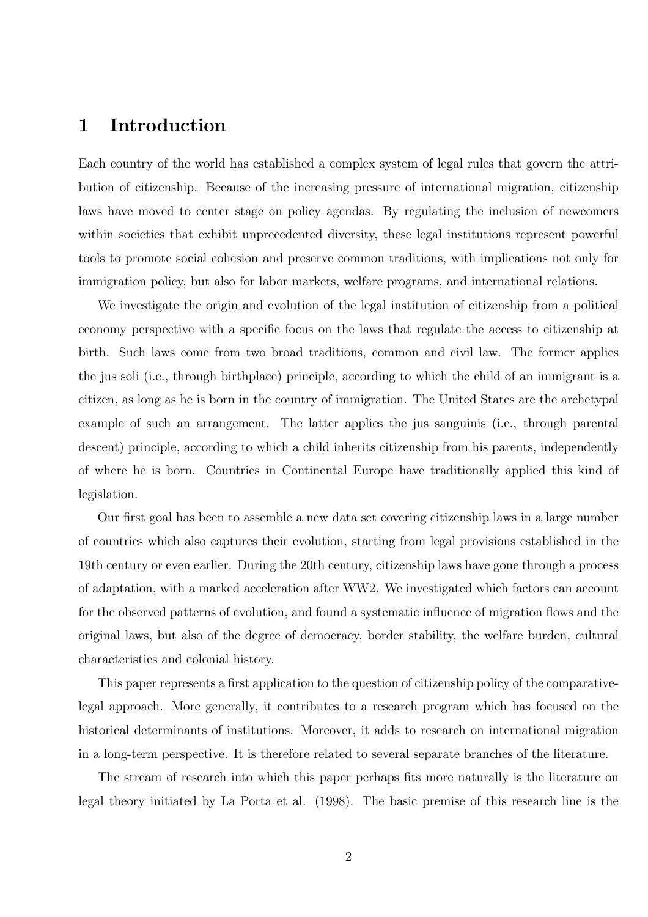### 1 Introduction

Each country of the world has established a complex system of legal rules that govern the attribution of citizenship. Because of the increasing pressure of international migration, citizenship laws have moved to center stage on policy agendas. By regulating the inclusion of newcomers within societies that exhibit unprecedented diversity, these legal institutions represent powerful tools to promote social cohesion and preserve common traditions, with implications not only for immigration policy, but also for labor markets, welfare programs, and international relations.

We investigate the origin and evolution of the legal institution of citizenship from a political economy perspective with a specific focus on the laws that regulate the access to citizenship at birth. Such laws come from two broad traditions, common and civil law. The former applies the jus soli (i.e., through birthplace) principle, according to which the child of an immigrant is a citizen, as long as he is born in the country of immigration. The United States are the archetypal example of such an arrangement. The latter applies the jus sanguinis (i.e., through parental descent) principle, according to which a child inherits citizenship from his parents, independently of where he is born. Countries in Continental Europe have traditionally applied this kind of legislation.

Our first goal has been to assemble a new data set covering citizenship laws in a large number of countries which also captures their evolution, starting from legal provisions established in the 19th century or even earlier. During the 20th century, citizenship laws have gone through a process of adaptation, with a marked acceleration after WW2. We investigated which factors can account for the observed patterns of evolution, and found a systematic influence of migration flows and the original laws, but also of the degree of democracy, border stability, the welfare burden, cultural characteristics and colonial history.

This paper represents a first application to the question of citizenship policy of the comparativelegal approach. More generally, it contributes to a research program which has focused on the historical determinants of institutions. Moreover, it adds to research on international migration in a long-term perspective. It is therefore related to several separate branches of the literature.

The stream of research into which this paper perhaps fits more naturally is the literature on legal theory initiated by La Porta et al. (1998). The basic premise of this research line is the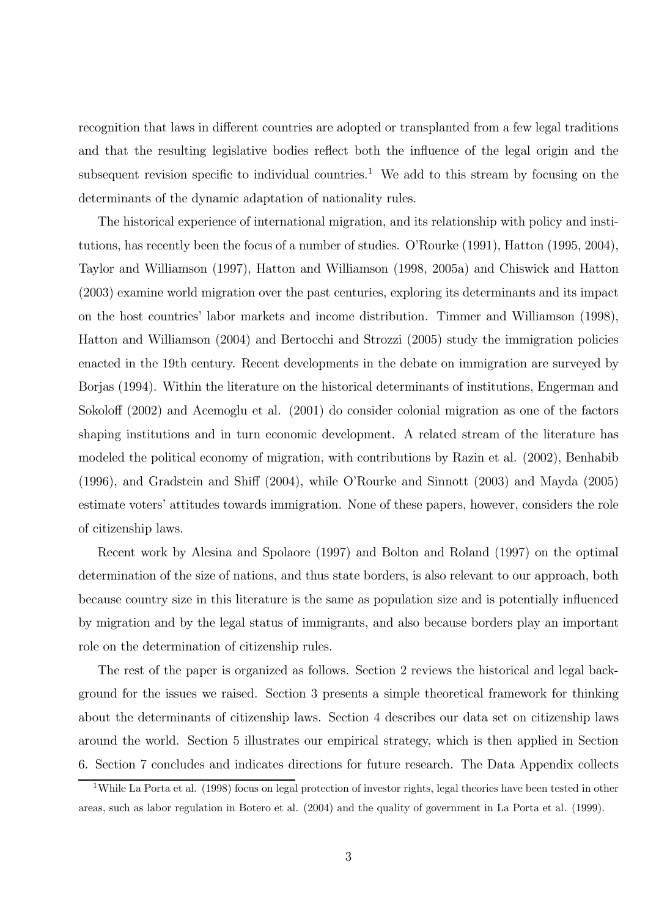recognition that laws in different countries are adopted or transplanted from a few legal traditions and that the resulting legislative bodies reflect both the influence of the legal origin and the subsequent revision specific to individual countries.<sup>1</sup> We add to this stream by focusing on the determinants of the dynamic adaptation of nationality rules.

The historical experience of international migration, and its relationship with policy and institutions, has recently been the focus of a number of studies. O'Rourke (1991), Hatton (1995, 2004), Taylor and Williamson (1997), Hatton and Williamson (1998, 2005a) and Chiswick and Hatton (2003) examine world migration over the past centuries, exploring its determinants and its impact on the host countries' labor markets and income distribution. Timmer and Williamson (1998), Hatton and Williamson (2004) and Bertocchi and Strozzi (2005) study the immigration policies enacted in the 19th century. Recent developments in the debate on immigration are surveyed by Borjas (1994). Within the literature on the historical determinants of institutions, Engerman and Sokoloff (2002) and Acemoglu et al. (2001) do consider colonial migration as one of the factors shaping institutions and in turn economic development. A related stream of the literature has modeled the political economy of migration, with contributions by Razin et al. (2002), Benhabib (1996), and Gradstein and Shiff (2004), while O'Rourke and Sinnott (2003) and Mayda (2005) estimate voters' attitudes towards immigration. None of these papers, however, considers the role of citizenship laws.

Recent work by Alesina and Spolaore (1997) and Bolton and Roland (1997) on the optimal determination of the size of nations, and thus state borders, is also relevant to our approach, both because country size in this literature is the same as population size and is potentially influenced by migration and by the legal status of immigrants, and also because borders play an important role on the determination of citizenship rules.

The rest of the paper is organized as follows. Section 2 reviews the historical and legal background for the issues we raised. Section 3 presents a simple theoretical framework for thinking about the determinants of citizenship laws. Section 4 describes our data set on citizenship laws around the world. Section 5 illustrates our empirical strategy, which is then applied in Section 6. Section 7 concludes and indicates directions for future research. The Data Appendix collects

<sup>&</sup>lt;sup>1</sup>While La Porta et al. (1998) focus on legal protection of investor rights, legal theories have been tested in other areas, such as labor regulation in Botero et al. (2004) and the quality of government in La Porta et al. (1999).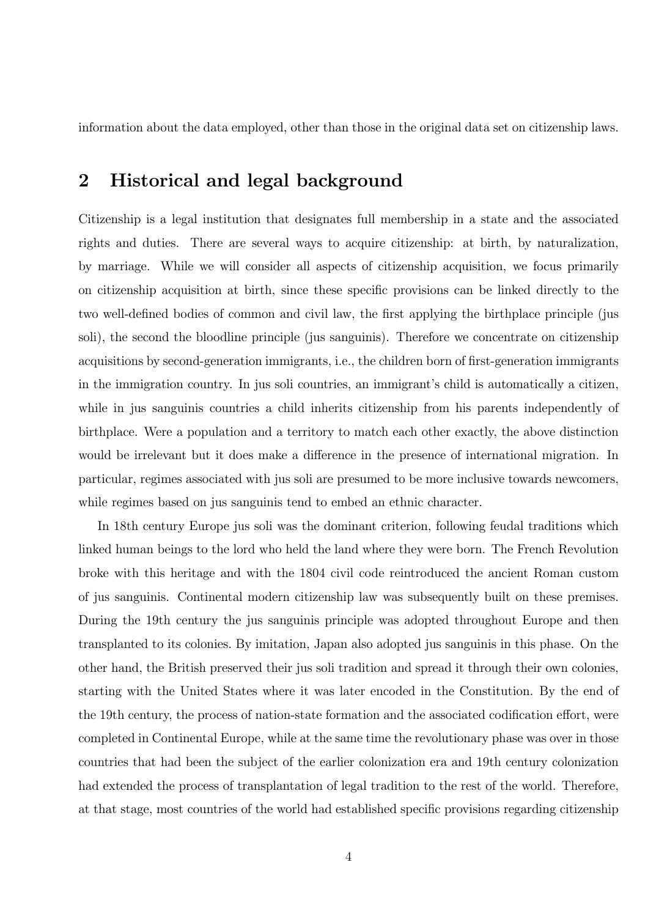information about the data employed, other than those in the original data set on citizenship laws.

# 2 Historical and legal background

Citizenship is a legal institution that designates full membership in a state and the associated rights and duties. There are several ways to acquire citizenship: at birth, by naturalization, by marriage. While we will consider all aspects of citizenship acquisition, we focus primarily on citizenship acquisition at birth, since these specific provisions can be linked directly to the two well-defined bodies of common and civil law, the first applying the birthplace principle (jus soli), the second the bloodline principle (jus sanguinis). Therefore we concentrate on citizenship acquisitions by second-generation immigrants, i.e., the children born of first-generation immigrants in the immigration country. In jus soli countries, an immigrant's child is automatically a citizen, while in jus sanguinis countries a child inherits citizenship from his parents independently of birthplace. Were a population and a territory to match each other exactly, the above distinction would be irrelevant but it does make a difference in the presence of international migration. In particular, regimes associated with jus soli are presumed to be more inclusive towards newcomers, while regimes based on jus sanguinis tend to embed an ethnic character.

In 18th century Europe jus soli was the dominant criterion, following feudal traditions which linked human beings to the lord who held the land where they were born. The French Revolution broke with this heritage and with the 1804 civil code reintroduced the ancient Roman custom of jus sanguinis. Continental modern citizenship law was subsequently built on these premises. During the 19th century the jus sanguinis principle was adopted throughout Europe and then transplanted to its colonies. By imitation, Japan also adopted jus sanguinis in this phase. On the other hand, the British preserved their jus soli tradition and spread it through their own colonies, starting with the United States where it was later encoded in the Constitution. By the end of the 19th century, the process of nation-state formation and the associated codification effort, were completed in Continental Europe, while at the same time the revolutionary phase was over in those countries that had been the subject of the earlier colonization era and 19th century colonization had extended the process of transplantation of legal tradition to the rest of the world. Therefore, at that stage, most countries of the world had established specific provisions regarding citizenship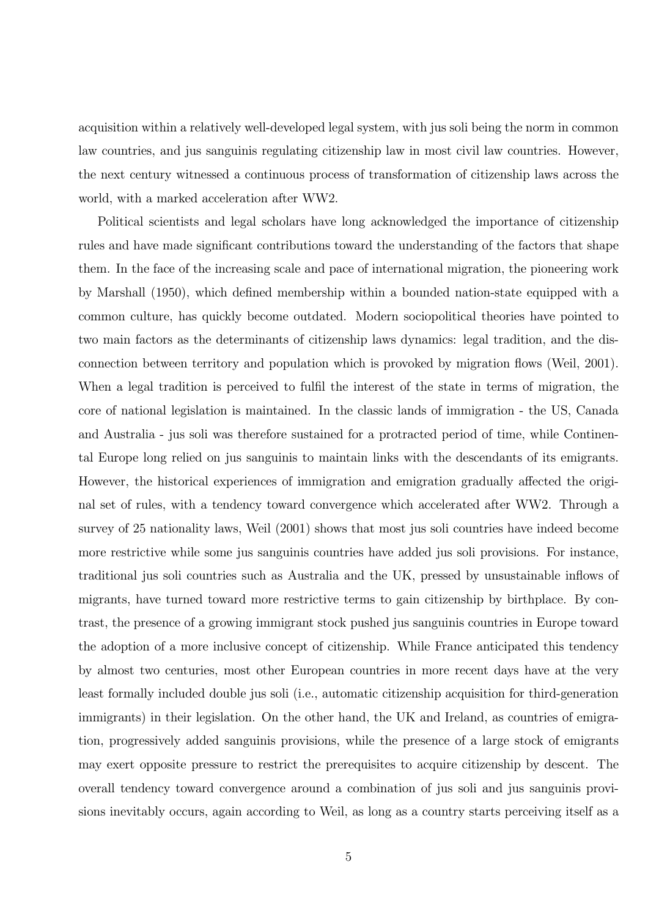acquisition within a relatively well-developed legal system, with jus soli being the norm in common law countries, and jus sanguinis regulating citizenship law in most civil law countries. However, the next century witnessed a continuous process of transformation of citizenship laws across the world, with a marked acceleration after WW2.

Political scientists and legal scholars have long acknowledged the importance of citizenship rules and have made significant contributions toward the understanding of the factors that shape them. In the face of the increasing scale and pace of international migration, the pioneering work by Marshall (1950), which defined membership within a bounded nation-state equipped with a common culture, has quickly become outdated. Modern sociopolitical theories have pointed to two main factors as the determinants of citizenship laws dynamics: legal tradition, and the disconnection between territory and population which is provoked by migration flows (Weil, 2001). When a legal tradition is perceived to fulfil the interest of the state in terms of migration, the core of national legislation is maintained. In the classic lands of immigration - the US, Canada and Australia - jus soli was therefore sustained for a protracted period of time, while Continental Europe long relied on jus sanguinis to maintain links with the descendants of its emigrants. However, the historical experiences of immigration and emigration gradually affected the original set of rules, with a tendency toward convergence which accelerated after WW2. Through a survey of 25 nationality laws, Weil (2001) shows that most jus soli countries have indeed become more restrictive while some jus sanguinis countries have added jus soli provisions. For instance, traditional jus soli countries such as Australia and the UK, pressed by unsustainable inflows of migrants, have turned toward more restrictive terms to gain citizenship by birthplace. By contrast, the presence of a growing immigrant stock pushed jus sanguinis countries in Europe toward the adoption of a more inclusive concept of citizenship. While France anticipated this tendency by almost two centuries, most other European countries in more recent days have at the very least formally included double jus soli (i.e., automatic citizenship acquisition for third-generation immigrants) in their legislation. On the other hand, the UK and Ireland, as countries of emigration, progressively added sanguinis provisions, while the presence of a large stock of emigrants may exert opposite pressure to restrict the prerequisites to acquire citizenship by descent. The overall tendency toward convergence around a combination of jus soli and jus sanguinis provisions inevitably occurs, again according to Weil, as long as a country starts perceiving itself as a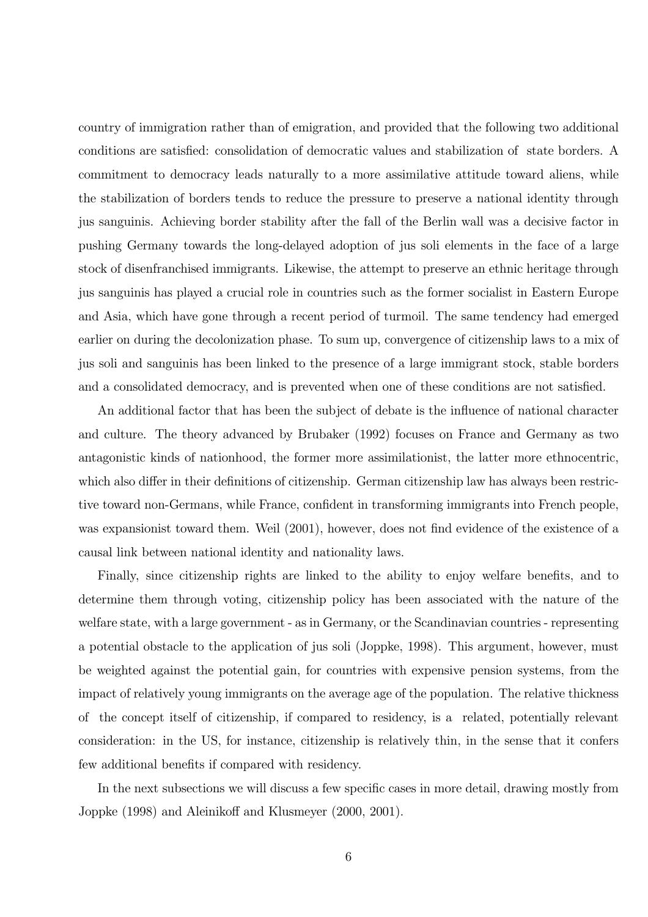country of immigration rather than of emigration, and provided that the following two additional conditions are satisfied: consolidation of democratic values and stabilization of state borders. A commitment to democracy leads naturally to a more assimilative attitude toward aliens, while the stabilization of borders tends to reduce the pressure to preserve a national identity through jus sanguinis. Achieving border stability after the fall of the Berlin wall was a decisive factor in pushing Germany towards the long-delayed adoption of jus soli elements in the face of a large stock of disenfranchised immigrants. Likewise, the attempt to preserve an ethnic heritage through jus sanguinis has played a crucial role in countries such as the former socialist in Eastern Europe and Asia, which have gone through a recent period of turmoil. The same tendency had emerged earlier on during the decolonization phase. To sum up, convergence of citizenship laws to a mix of jus soli and sanguinis has been linked to the presence of a large immigrant stock, stable borders and a consolidated democracy, and is prevented when one of these conditions are not satisfied.

An additional factor that has been the subject of debate is the influence of national character and culture. The theory advanced by Brubaker (1992) focuses on France and Germany as two antagonistic kinds of nationhood, the former more assimilationist, the latter more ethnocentric, which also differ in their definitions of citizenship. German citizenship law has always been restrictive toward non-Germans, while France, confident in transforming immigrants into French people, was expansionist toward them. Weil (2001), however, does not find evidence of the existence of a causal link between national identity and nationality laws.

Finally, since citizenship rights are linked to the ability to enjoy welfare benefits, and to determine them through voting, citizenship policy has been associated with the nature of the welfare state, with a large government - as in Germany, or the Scandinavian countries - representing a potential obstacle to the application of jus soli (Joppke, 1998). This argument, however, must be weighted against the potential gain, for countries with expensive pension systems, from the impact of relatively young immigrants on the average age of the population. The relative thickness of the concept itself of citizenship, if compared to residency, is a related, potentially relevant consideration: in the US, for instance, citizenship is relatively thin, in the sense that it confers few additional benefits if compared with residency.

In the next subsections we will discuss a few specific cases in more detail, drawing mostly from Joppke (1998) and Aleinikoff and Klusmeyer (2000, 2001).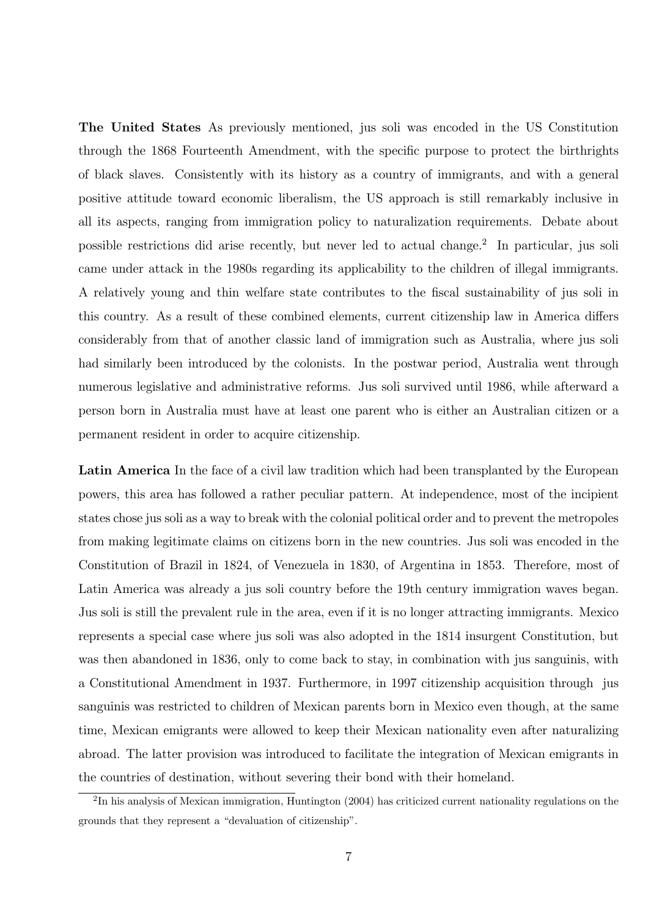The United States As previously mentioned, jus soli was encoded in the US Constitution through the 1868 Fourteenth Amendment, with the specific purpose to protect the birthrights of black slaves. Consistently with its history as a country of immigrants, and with a general positive attitude toward economic liberalism, the US approach is still remarkably inclusive in all its aspects, ranging from immigration policy to naturalization requirements. Debate about possible restrictions did arise recently, but never led to actual change.<sup>2</sup> In particular, jus soli came under attack in the 1980s regarding its applicability to the children of illegal immigrants. A relatively young and thin welfare state contributes to the fiscal sustainability of jus soli in this country. As a result of these combined elements, current citizenship law in America differs considerably from that of another classic land of immigration such as Australia, where jus soli had similarly been introduced by the colonists. In the postwar period, Australia went through numerous legislative and administrative reforms. Jus soli survived until 1986, while afterward a person born in Australia must have at least one parent who is either an Australian citizen or a permanent resident in order to acquire citizenship.

Latin America In the face of a civil law tradition which had been transplanted by the European powers, this area has followed a rather peculiar pattern. At independence, most of the incipient states chose jus soli as a way to break with the colonial political order and to prevent the metropoles from making legitimate claims on citizens born in the new countries. Jus soli was encoded in the Constitution of Brazil in 1824, of Venezuela in 1830, of Argentina in 1853. Therefore, most of Latin America was already a jus soli country before the 19th century immigration waves began. Jus soli is still the prevalent rule in the area, even if it is no longer attracting immigrants. Mexico represents a special case where jus soli was also adopted in the 1814 insurgent Constitution, but was then abandoned in 1836, only to come back to stay, in combination with jus sanguinis, with a Constitutional Amendment in 1937. Furthermore, in 1997 citizenship acquisition through jus sanguinis was restricted to children of Mexican parents born in Mexico even though, at the same time, Mexican emigrants were allowed to keep their Mexican nationality even after naturalizing abroad. The latter provision was introduced to facilitate the integration of Mexican emigrants in the countries of destination, without severing their bond with their homeland.

<sup>2</sup>In his analysis of Mexican immigration, Huntington (2004) has criticized current nationality regulations on the grounds that they represent a "devaluation of citizenship".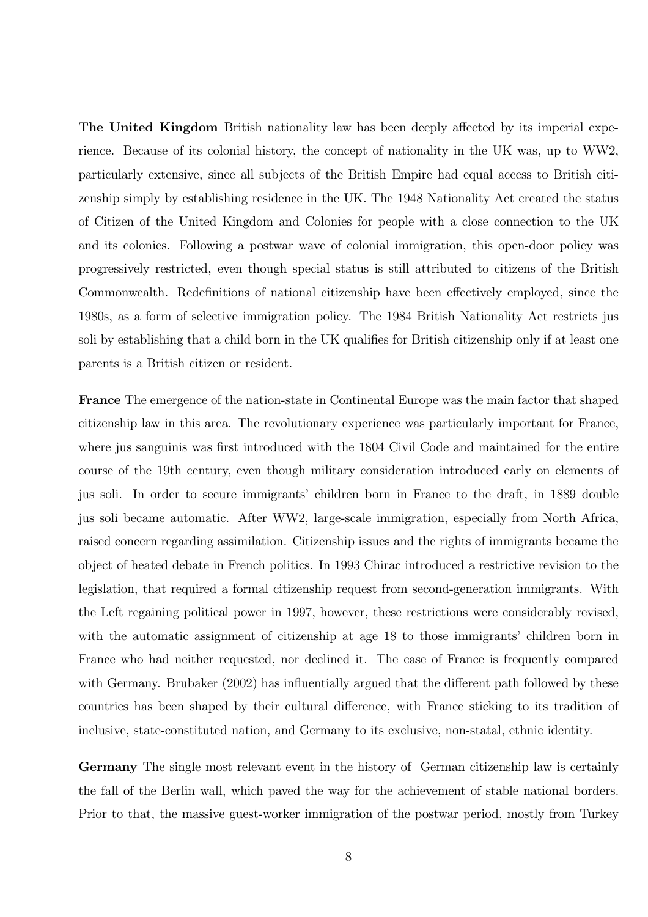The United Kingdom British nationality law has been deeply affected by its imperial experience. Because of its colonial history, the concept of nationality in the UK was, up to WW2, particularly extensive, since all subjects of the British Empire had equal access to British citizenship simply by establishing residence in the UK. The 1948 Nationality Act created the status of Citizen of the United Kingdom and Colonies for people with a close connection to the UK and its colonies. Following a postwar wave of colonial immigration, this open-door policy was progressively restricted, even though special status is still attributed to citizens of the British Commonwealth. Redefinitions of national citizenship have been effectively employed, since the 1980s, as a form of selective immigration policy. The 1984 British Nationality Act restricts jus soli by establishing that a child born in the UK qualifies for British citizenship only if at least one parents is a British citizen or resident.

France The emergence of the nation-state in Continental Europe was the main factor that shaped citizenship law in this area. The revolutionary experience was particularly important for France, where jus sanguinis was first introduced with the 1804 Civil Code and maintained for the entire course of the 19th century, even though military consideration introduced early on elements of jus soli. In order to secure immigrants' children born in France to the draft, in 1889 double jus soli became automatic. After WW2, large-scale immigration, especially from North Africa, raised concern regarding assimilation. Citizenship issues and the rights of immigrants became the object of heated debate in French politics. In 1993 Chirac introduced a restrictive revision to the legislation, that required a formal citizenship request from second-generation immigrants. With the Left regaining political power in 1997, however, these restrictions were considerably revised, with the automatic assignment of citizenship at age 18 to those immigrants' children born in France who had neither requested, nor declined it. The case of France is frequently compared with Germany. Brubaker (2002) has influentially argued that the different path followed by these countries has been shaped by their cultural difference, with France sticking to its tradition of inclusive, state-constituted nation, and Germany to its exclusive, non-statal, ethnic identity.

Germany The single most relevant event in the history of German citizenship law is certainly the fall of the Berlin wall, which paved the way for the achievement of stable national borders. Prior to that, the massive guest-worker immigration of the postwar period, mostly from Turkey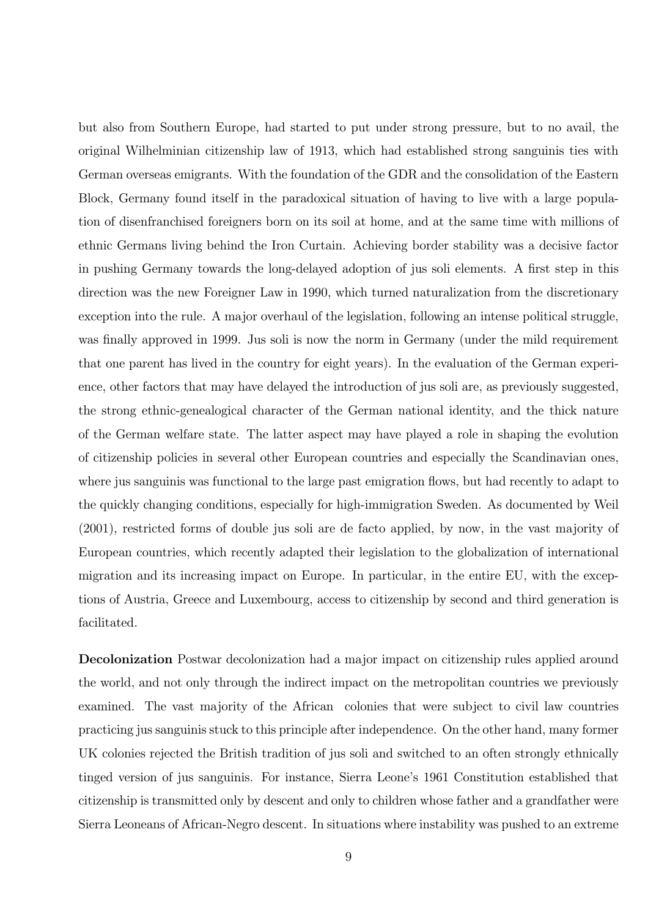but also from Southern Europe, had started to put under strong pressure, but to no avail, the original Wilhelminian citizenship law of 1913, which had established strong sanguinis ties with German overseas emigrants. With the foundation of the GDR and the consolidation of the Eastern Block, Germany found itself in the paradoxical situation of having to live with a large population of disenfranchised foreigners born on its soil at home, and at the same time with millions of ethnic Germans living behind the Iron Curtain. Achieving border stability was a decisive factor in pushing Germany towards the long-delayed adoption of jus soli elements. A first step in this direction was the new Foreigner Law in 1990, which turned naturalization from the discretionary exception into the rule. A major overhaul of the legislation, following an intense political struggle, was finally approved in 1999. Jus soli is now the norm in Germany (under the mild requirement that one parent has lived in the country for eight years). In the evaluation of the German experience, other factors that may have delayed the introduction of jus soli are, as previously suggested, the strong ethnic-genealogical character of the German national identity, and the thick nature of the German welfare state. The latter aspect may have played a role in shaping the evolution of citizenship policies in several other European countries and especially the Scandinavian ones, where jus sanguinis was functional to the large past emigration flows, but had recently to adapt to the quickly changing conditions, especially for high-immigration Sweden. As documented by Weil (2001), restricted forms of double jus soli are de facto applied, by now, in the vast majority of European countries, which recently adapted their legislation to the globalization of international migration and its increasing impact on Europe. In particular, in the entire EU, with the exceptions of Austria, Greece and Luxembourg, access to citizenship by second and third generation is facilitated.

Decolonization Postwar decolonization had a major impact on citizenship rules applied around the world, and not only through the indirect impact on the metropolitan countries we previously examined. The vast majority of the African colonies that were subject to civil law countries practicing jus sanguinis stuck to this principle after independence. On the other hand, many former UK colonies rejected the British tradition of jus soli and switched to an often strongly ethnically tinged version of jus sanguinis. For instance, Sierra Leone's 1961 Constitution established that citizenship is transmitted only by descent and only to children whose father and a grandfather were Sierra Leoneans of African-Negro descent. In situations where instability was pushed to an extreme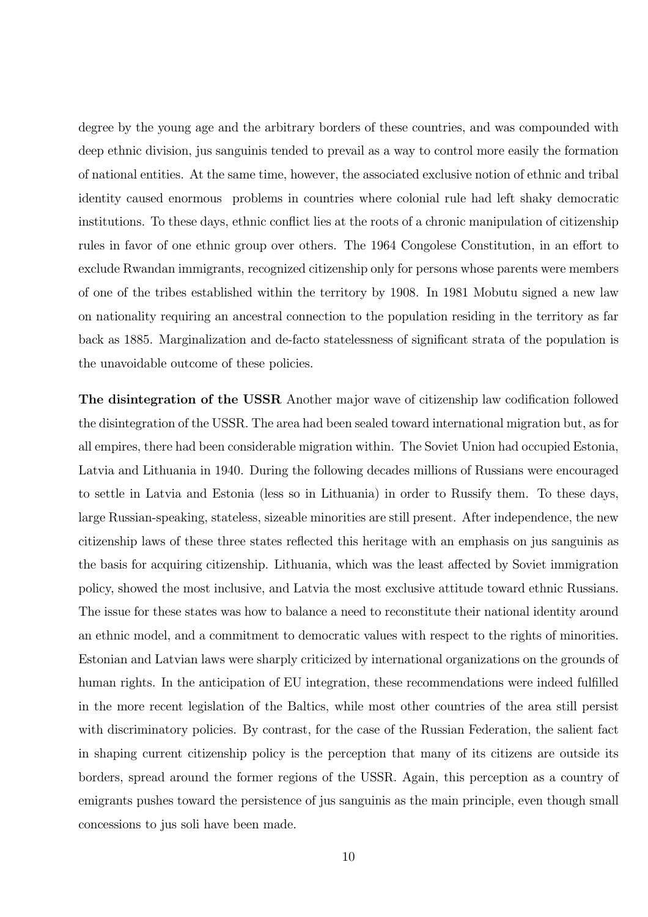degree by the young age and the arbitrary borders of these countries, and was compounded with deep ethnic division, jus sanguinis tended to prevail as a way to control more easily the formation of national entities. At the same time, however, the associated exclusive notion of ethnic and tribal identity caused enormous problems in countries where colonial rule had left shaky democratic institutions. To these days, ethnic conflict lies at the roots of a chronic manipulation of citizenship rules in favor of one ethnic group over others. The 1964 Congolese Constitution, in an effort to exclude Rwandan immigrants, recognized citizenship only for persons whose parents were members of one of the tribes established within the territory by 1908. In 1981 Mobutu signed a new law on nationality requiring an ancestral connection to the population residing in the territory as far back as 1885. Marginalization and de-facto statelessness of significant strata of the population is the unavoidable outcome of these policies.

The disintegration of the USSR Another major wave of citizenship law codification followed the disintegration of the USSR. The area had been sealed toward international migration but, as for all empires, there had been considerable migration within. The Soviet Union had occupied Estonia, Latvia and Lithuania in 1940. During the following decades millions of Russians were encouraged to settle in Latvia and Estonia (less so in Lithuania) in order to Russify them. To these days, large Russian-speaking, stateless, sizeable minorities are still present. After independence, the new citizenship laws of these three states reflected this heritage with an emphasis on jus sanguinis as the basis for acquiring citizenship. Lithuania, which was the least affected by Soviet immigration policy, showed the most inclusive, and Latvia the most exclusive attitude toward ethnic Russians. The issue for these states was how to balance a need to reconstitute their national identity around an ethnic model, and a commitment to democratic values with respect to the rights of minorities. Estonian and Latvian laws were sharply criticized by international organizations on the grounds of human rights. In the anticipation of EU integration, these recommendations were indeed fulfilled in the more recent legislation of the Baltics, while most other countries of the area still persist with discriminatory policies. By contrast, for the case of the Russian Federation, the salient fact in shaping current citizenship policy is the perception that many of its citizens are outside its borders, spread around the former regions of the USSR. Again, this perception as a country of emigrants pushes toward the persistence of jus sanguinis as the main principle, even though small concessions to jus soli have been made.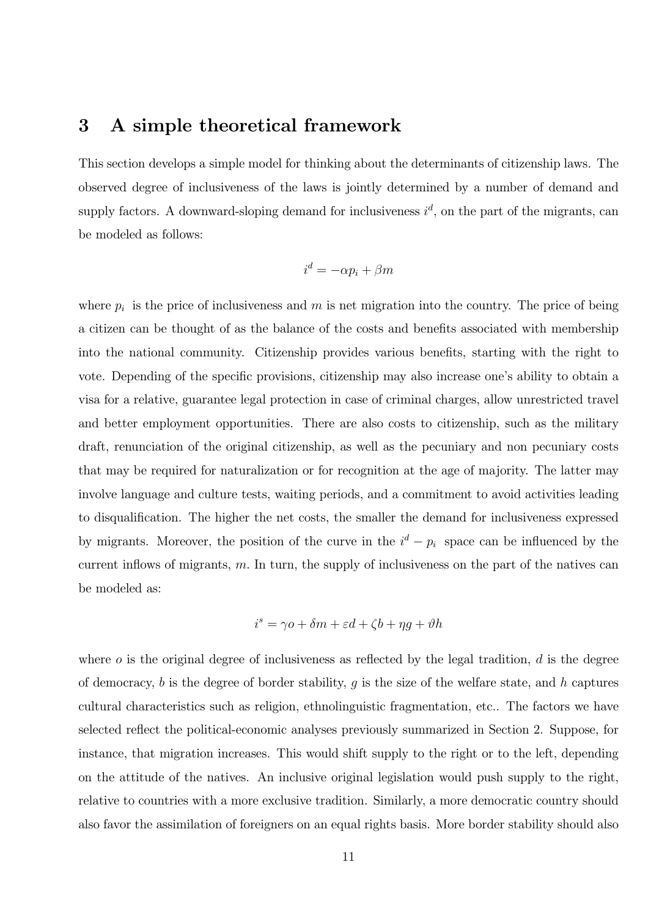### 3 A simple theoretical framework

This section develops a simple model for thinking about the determinants of citizenship laws. The observed degree of inclusiveness of the laws is jointly determined by a number of demand and supply factors. A downward-sloping demand for inclusiveness  $i^d$ , on the part of the migrants, can be modeled as follows:

$$
i^d = -\alpha p_i + \beta m
$$

where  $p_i$  is the price of inclusiveness and m is net migration into the country. The price of being a citizen can be thought of as the balance of the costs and benefits associated with membership into the national community. Citizenship provides various benefits, starting with the right to vote. Depending of the specific provisions, citizenship may also increase one's ability to obtain a visa for a relative, guarantee legal protection in case of criminal charges, allow unrestricted travel and better employment opportunities. There are also costs to citizenship, such as the military draft, renunciation of the original citizenship, as well as the pecuniary and non pecuniary costs that may be required for naturalization or for recognition at the age of majority. The latter may involve language and culture tests, waiting periods, and a commitment to avoid activities leading to disqualification. The higher the net costs, the smaller the demand for inclusiveness expressed by migrants. Moreover, the position of the curve in the  $i^d - p_i$  space can be influenced by the current inflows of migrants,  $m$ . In turn, the supply of inclusiveness on the part of the natives can be modeled as:

$$
i^s = \gamma o + \delta m + \varepsilon d + \zeta b + \eta g + \vartheta h
$$

where  $\sigma$  is the original degree of inclusiveness as reflected by the legal tradition,  $d$  is the degree of democracy, b is the degree of border stability, g is the size of the welfare state, and h captures cultural characteristics such as religion, ethnolinguistic fragmentation, etc.. The factors we have selected reflect the political-economic analyses previously summarized in Section 2. Suppose, for instance, that migration increases. This would shift supply to the right or to the left, depending on the attitude of the natives. An inclusive original legislation would push supply to the right, relative to countries with a more exclusive tradition. Similarly, a more democratic country should also favor the assimilation of foreigners on an equal rights basis. More border stability should also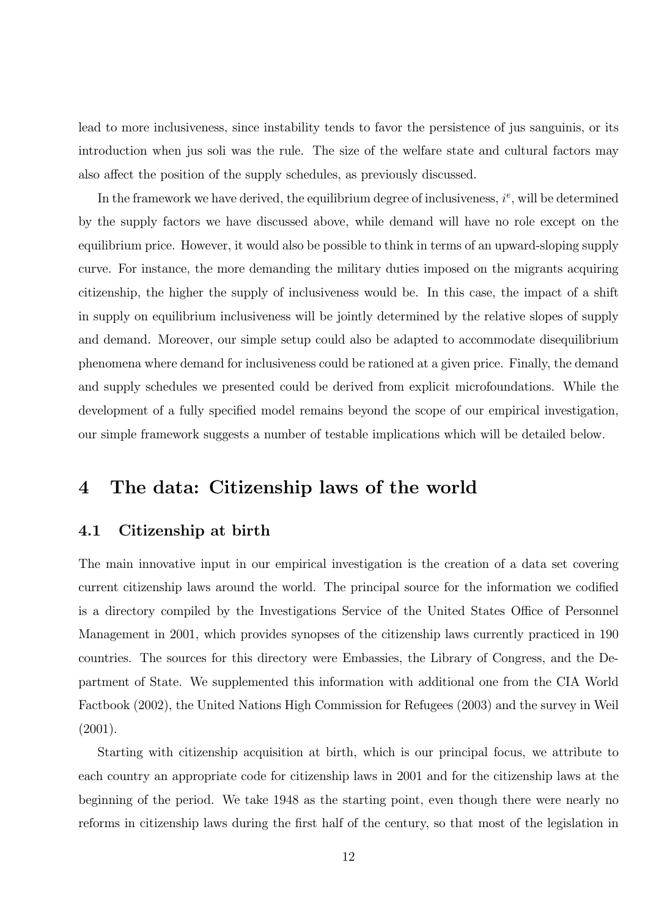lead to more inclusiveness, since instability tends to favor the persistence of jus sanguinis, or its introduction when jus soli was the rule. The size of the welfare state and cultural factors may also affect the position of the supply schedules, as previously discussed.

In the framework we have derived, the equilibrium degree of inclusiveness,  $i^e$ , will be determined by the supply factors we have discussed above, while demand will have no role except on the equilibrium price. However, it would also be possible to think in terms of an upward-sloping supply curve. For instance, the more demanding the military duties imposed on the migrants acquiring citizenship, the higher the supply of inclusiveness would be. In this case, the impact of a shift in supply on equilibrium inclusiveness will be jointly determined by the relative slopes of supply and demand. Moreover, our simple setup could also be adapted to accommodate disequilibrium phenomena where demand for inclusiveness could be rationed at a given price. Finally, the demand and supply schedules we presented could be derived from explicit microfoundations. While the development of a fully specified model remains beyond the scope of our empirical investigation, our simple framework suggests a number of testable implications which will be detailed below.

# 4 The data: Citizenship laws of the world

#### 4.1 Citizenship at birth

The main innovative input in our empirical investigation is the creation of a data set covering current citizenship laws around the world. The principal source for the information we codified is a directory compiled by the Investigations Service of the United States Office of Personnel Management in 2001, which provides synopses of the citizenship laws currently practiced in 190 countries. The sources for this directory were Embassies, the Library of Congress, and the Department of State. We supplemented this information with additional one from the CIA World Factbook (2002), the United Nations High Commission for Refugees (2003) and the survey in Weil (2001).

Starting with citizenship acquisition at birth, which is our principal focus, we attribute to each country an appropriate code for citizenship laws in 2001 and for the citizenship laws at the beginning of the period. We take 1948 as the starting point, even though there were nearly no reforms in citizenship laws during the first half of the century, so that most of the legislation in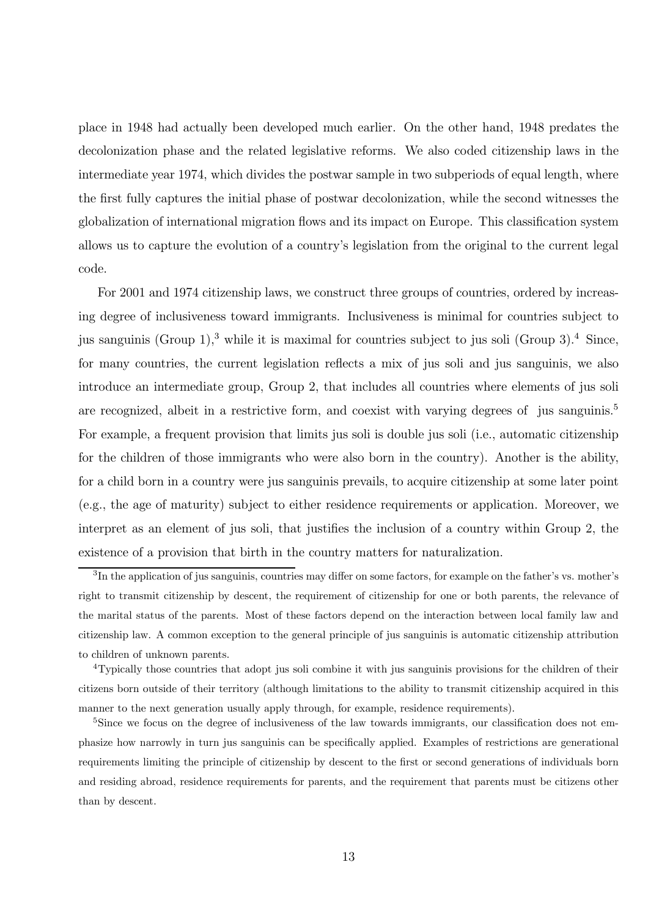place in 1948 had actually been developed much earlier. On the other hand, 1948 predates the decolonization phase and the related legislative reforms. We also coded citizenship laws in the intermediate year 1974, which divides the postwar sample in two subperiods of equal length, where the first fully captures the initial phase of postwar decolonization, while the second witnesses the globalization of international migration flows and its impact on Europe. This classification system allows us to capture the evolution of a country's legislation from the original to the current legal code.

For 2001 and 1974 citizenship laws, we construct three groups of countries, ordered by increasing degree of inclusiveness toward immigrants. Inclusiveness is minimal for countries subject to jus sanguinis (Group 1),<sup>3</sup> while it is maximal for countries subject to jus soli (Group 3).<sup>4</sup> Since, for many countries, the current legislation reflects a mix of jus soli and jus sanguinis, we also introduce an intermediate group, Group 2, that includes all countries where elements of jus soli are recognized, albeit in a restrictive form, and coexist with varying degrees of jus sanguinis.<sup>5</sup> For example, a frequent provision that limits jus soli is double jus soli (i.e., automatic citizenship for the children of those immigrants who were also born in the country). Another is the ability, for a child born in a country were jus sanguinis prevails, to acquire citizenship at some later point (e.g., the age of maturity) subject to either residence requirements or application. Moreover, we interpret as an element of jus soli, that justifies the inclusion of a country within Group 2, the existence of a provision that birth in the country matters for naturalization.

<sup>3</sup>In the application of jus sanguinis, countries may differ on some factors, for example on the father's vs. mother's right to transmit citizenship by descent, the requirement of citizenship for one or both parents, the relevance of the marital status of the parents. Most of these factors depend on the interaction between local family law and citizenship law. A common exception to the general principle of jus sanguinis is automatic citizenship attribution to children of unknown parents.

<sup>4</sup>Typically those countries that adopt jus soli combine it with jus sanguinis provisions for the children of their citizens born outside of their territory (although limitations to the ability to transmit citizenship acquired in this manner to the next generation usually apply through, for example, residence requirements).

<sup>&</sup>lt;sup>5</sup>Since we focus on the degree of inclusiveness of the law towards immigrants, our classification does not emphasize how narrowly in turn jus sanguinis can be specifically applied. Examples of restrictions are generational requirements limiting the principle of citizenship by descent to the first or second generations of individuals born and residing abroad, residence requirements for parents, and the requirement that parents must be citizens other than by descent.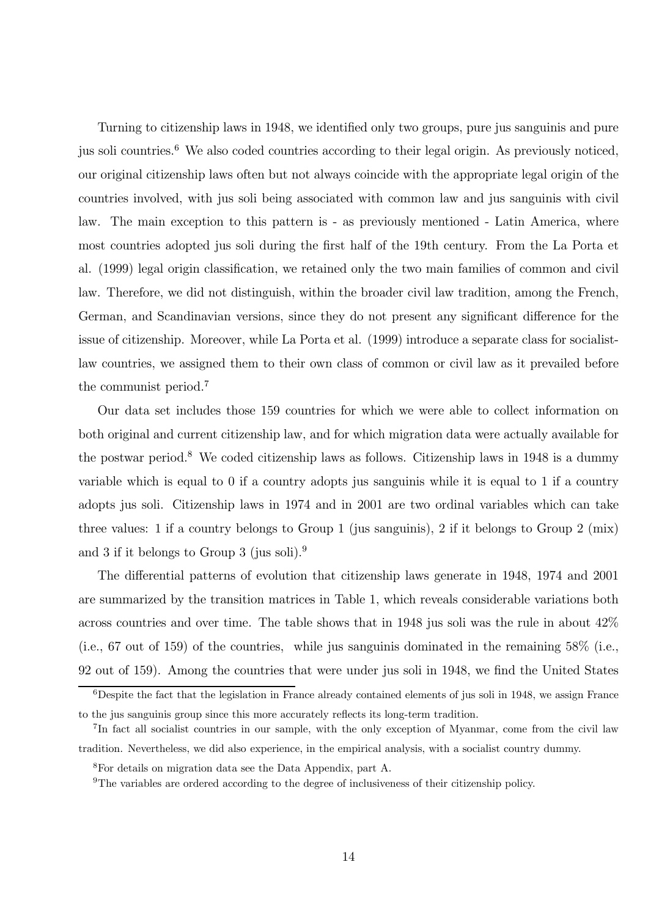Turning to citizenship laws in 1948, we identified only two groups, pure jus sanguinis and pure jus soli countries.<sup>6</sup> We also coded countries according to their legal origin. As previously noticed, our original citizenship laws often but not always coincide with the appropriate legal origin of the countries involved, with jus soli being associated with common law and jus sanguinis with civil law. The main exception to this pattern is - as previously mentioned - Latin America, where most countries adopted jus soli during the first half of the 19th century. From the La Porta et al. (1999) legal origin classification, we retained only the two main families of common and civil law. Therefore, we did not distinguish, within the broader civil law tradition, among the French, German, and Scandinavian versions, since they do not present any significant difference for the issue of citizenship. Moreover, while La Porta et al. (1999) introduce a separate class for socialistlaw countries, we assigned them to their own class of common or civil law as it prevailed before the communist period.<sup>7</sup>

Our data set includes those 159 countries for which we were able to collect information on both original and current citizenship law, and for which migration data were actually available for the postwar period.<sup>8</sup> We coded citizenship laws as follows. Citizenship laws in 1948 is a dummy variable which is equal to 0 if a country adopts jus sanguinis while it is equal to 1 if a country adopts jus soli. Citizenship laws in 1974 and in 2001 are two ordinal variables which can take three values: 1 if a country belongs to Group 1 (jus sanguinis), 2 if it belongs to Group 2 (mix) and 3 if it belongs to Group 3 (jus soli).<sup>9</sup>

The differential patterns of evolution that citizenship laws generate in 1948, 1974 and 2001 are summarized by the transition matrices in Table 1, which reveals considerable variations both across countries and over time. The table shows that in 1948 jus soli was the rule in about 42% (i.e., 67 out of 159) of the countries, while jus sanguinis dominated in the remaining 58% (i.e., 92 out of 159). Among the countries that were under jus soli in 1948, we find the United States

 $6$ Despite the fact that the legislation in France already contained elements of jus soli in 1948, we assign France to the jus sanguinis group since this more accurately reflects its long-term tradition.

<sup>7</sup>In fact all socialist countries in our sample, with the only exception of Myanmar, come from the civil law tradition. Nevertheless, we did also experience, in the empirical analysis, with a socialist country dummy.

<sup>8</sup>For details on migration data see the Data Appendix, part A.

<sup>&</sup>lt;sup>9</sup>The variables are ordered according to the degree of inclusiveness of their citizenship policy.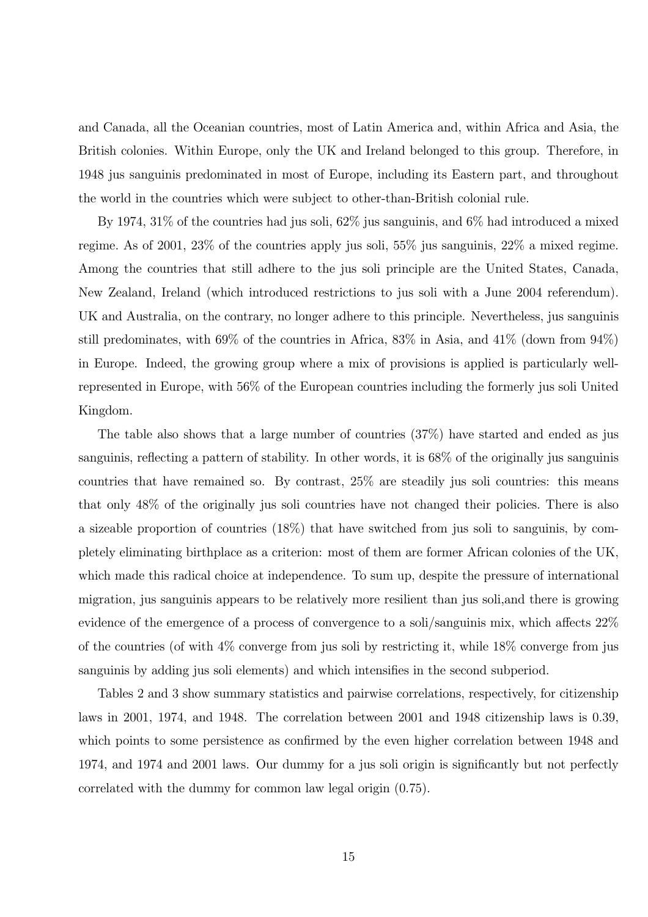and Canada, all the Oceanian countries, most of Latin America and, within Africa and Asia, the British colonies. Within Europe, only the UK and Ireland belonged to this group. Therefore, in 1948 jus sanguinis predominated in most of Europe, including its Eastern part, and throughout the world in the countries which were subject to other-than-British colonial rule.

By 1974, 31% of the countries had jus soli, 62% jus sanguinis, and 6% had introduced a mixed regime. As of 2001, 23% of the countries apply jus soli, 55% jus sanguinis, 22% a mixed regime. Among the countries that still adhere to the jus soli principle are the United States, Canada, New Zealand, Ireland (which introduced restrictions to jus soli with a June 2004 referendum). UK and Australia, on the contrary, no longer adhere to this principle. Nevertheless, jus sanguinis still predominates, with 69% of the countries in Africa, 83% in Asia, and 41% (down from 94%) in Europe. Indeed, the growing group where a mix of provisions is applied is particularly wellrepresented in Europe, with 56% of the European countries including the formerly jus soli United Kingdom.

The table also shows that a large number of countries (37%) have started and ended as jus sanguinis, reflecting a pattern of stability. In other words, it is 68% of the originally jus sanguinis countries that have remained so. By contrast, 25% are steadily jus soli countries: this means that only 48% of the originally jus soli countries have not changed their policies. There is also a sizeable proportion of countries (18%) that have switched from jus soli to sanguinis, by completely eliminating birthplace as a criterion: most of them are former African colonies of the UK, which made this radical choice at independence. To sum up, despite the pressure of international migration, jus sanguinis appears to be relatively more resilient than jus soli,and there is growing evidence of the emergence of a process of convergence to a soli/sanguinis mix, which affects 22% of the countries (of with 4% converge from jus soli by restricting it, while 18% converge from jus sanguinis by adding jus soli elements) and which intensifies in the second subperiod.

Tables 2 and 3 show summary statistics and pairwise correlations, respectively, for citizenship laws in 2001, 1974, and 1948. The correlation between 2001 and 1948 citizenship laws is 0.39, which points to some persistence as confirmed by the even higher correlation between 1948 and 1974, and 1974 and 2001 laws. Our dummy for a jus soli origin is significantly but not perfectly correlated with the dummy for common law legal origin (0.75).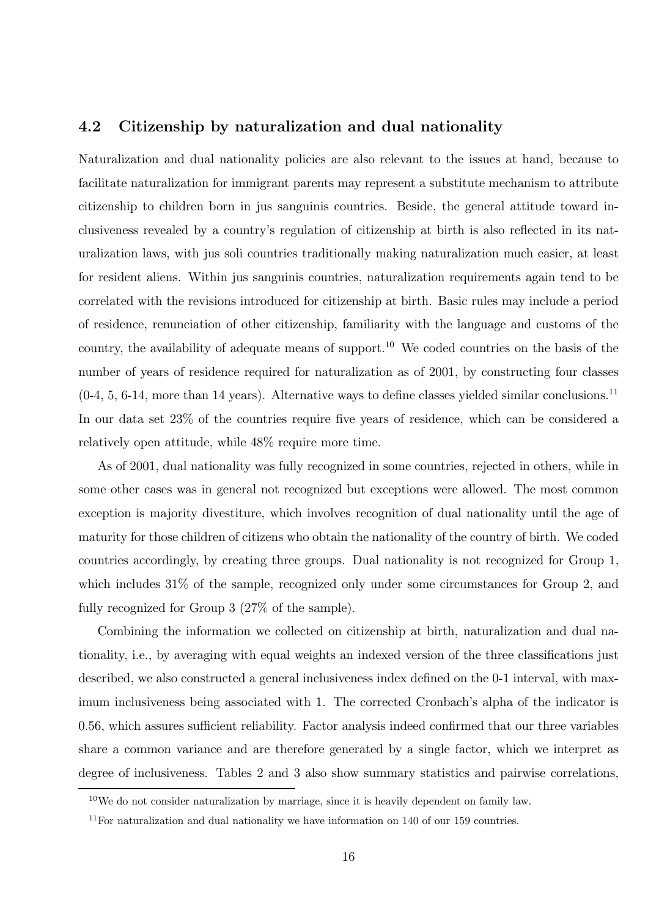#### 4.2 Citizenship by naturalization and dual nationality

Naturalization and dual nationality policies are also relevant to the issues at hand, because to facilitate naturalization for immigrant parents may represent a substitute mechanism to attribute citizenship to children born in jus sanguinis countries. Beside, the general attitude toward inclusiveness revealed by a country's regulation of citizenship at birth is also reflected in its naturalization laws, with jus soli countries traditionally making naturalization much easier, at least for resident aliens. Within jus sanguinis countries, naturalization requirements again tend to be correlated with the revisions introduced for citizenship at birth. Basic rules may include a period of residence, renunciation of other citizenship, familiarity with the language and customs of the country, the availability of adequate means of support.<sup>10</sup> We coded countries on the basis of the number of years of residence required for naturalization as of 2001, by constructing four classes  $(0-4, 5, 6-14, \text{ more than } 14 \text{ years})$ . Alternative ways to define classes yielded similar conclusions.<sup>11</sup> In our data set 23% of the countries require five years of residence, which can be considered a relatively open attitude, while 48% require more time.

As of 2001, dual nationality was fully recognized in some countries, rejected in others, while in some other cases was in general not recognized but exceptions were allowed. The most common exception is majority divestiture, which involves recognition of dual nationality until the age of maturity for those children of citizens who obtain the nationality of the country of birth. We coded countries accordingly, by creating three groups. Dual nationality is not recognized for Group 1, which includes 31% of the sample, recognized only under some circumstances for Group 2, and fully recognized for Group 3 (27% of the sample).

Combining the information we collected on citizenship at birth, naturalization and dual nationality, i.e., by averaging with equal weights an indexed version of the three classifications just described, we also constructed a general inclusiveness index defined on the 0-1 interval, with maximum inclusiveness being associated with 1. The corrected Cronbach's alpha of the indicator is 0.56, which assures sufficient reliability. Factor analysis indeed confirmed that our three variables share a common variance and are therefore generated by a single factor, which we interpret as degree of inclusiveness. Tables 2 and 3 also show summary statistics and pairwise correlations,

 $10$ We do not consider naturalization by marriage, since it is heavily dependent on family law.

<sup>11</sup>For naturalization and dual nationality we have information on 140 of our 159 countries.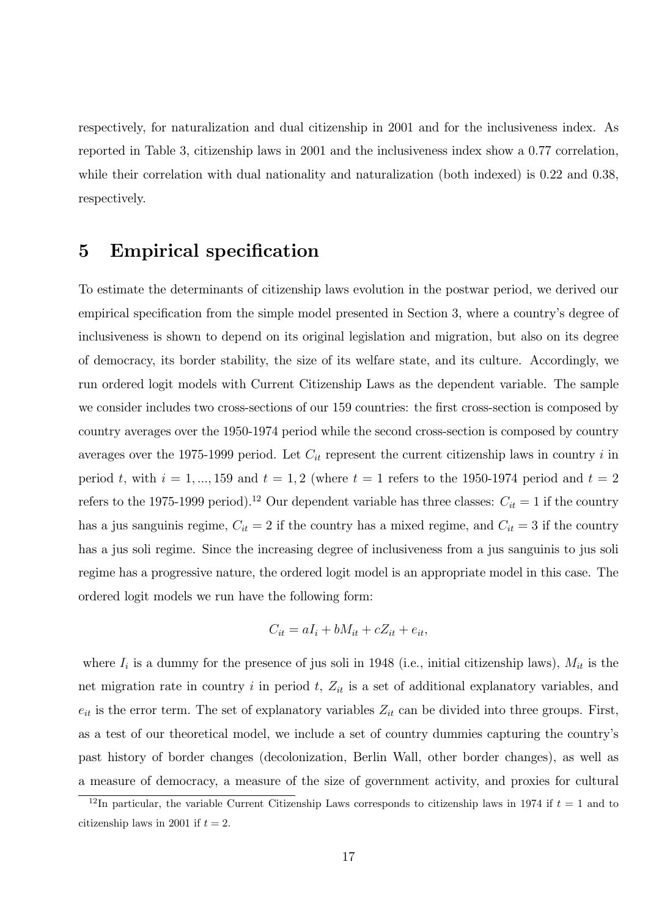respectively, for naturalization and dual citizenship in 2001 and for the inclusiveness index. As reported in Table 3, citizenship laws in 2001 and the inclusiveness index show a 0.77 correlation, while their correlation with dual nationality and naturalization (both indexed) is 0.22 and 0.38, respectively.

## 5 Empirical specification

To estimate the determinants of citizenship laws evolution in the postwar period, we derived our empirical specification from the simple model presented in Section 3, where a country's degree of inclusiveness is shown to depend on its original legislation and migration, but also on its degree of democracy, its border stability, the size of its welfare state, and its culture. Accordingly, we run ordered logit models with Current Citizenship Laws as the dependent variable. The sample we consider includes two cross-sections of our 159 countries: the first cross-section is composed by country averages over the 1950-1974 period while the second cross-section is composed by country averages over the 1975-1999 period. Let  $C_{it}$  represent the current citizenship laws in country i in period t, with  $i = 1, ..., 159$  and  $t = 1, 2$  (where  $t = 1$  refers to the 1950-1974 period and  $t = 2$ refers to the 1975-1999 period).<sup>12</sup> Our dependent variable has three classes:  $C_{it} = 1$  if the country has a jus sanguinis regime,  $C_{it} = 2$  if the country has a mixed regime, and  $C_{it} = 3$  if the country has a jus soli regime. Since the increasing degree of inclusiveness from a jus sanguinis to jus soli regime has a progressive nature, the ordered logit model is an appropriate model in this case. The ordered logit models we run have the following form:

$$
C_{it} = aI_i + bM_{it} + cZ_{it} + e_{it},
$$

where  $I_i$  is a dummy for the presence of jus soli in 1948 (i.e., initial citizenship laws),  $M_{it}$  is the net migration rate in country i in period  $t$ ,  $Z_{it}$  is a set of additional explanatory variables, and  $e_{it}$  is the error term. The set of explanatory variables  $Z_{it}$  can be divided into three groups. First, as a test of our theoretical model, we include a set of country dummies capturing the country's past history of border changes (decolonization, Berlin Wall, other border changes), as well as a measure of democracy, a measure of the size of government activity, and proxies for cultural

<sup>&</sup>lt;sup>12</sup>In particular, the variable Current Citizenship Laws corresponds to citizenship laws in 1974 if  $t = 1$  and to citizenship laws in 2001 if  $t = 2$ .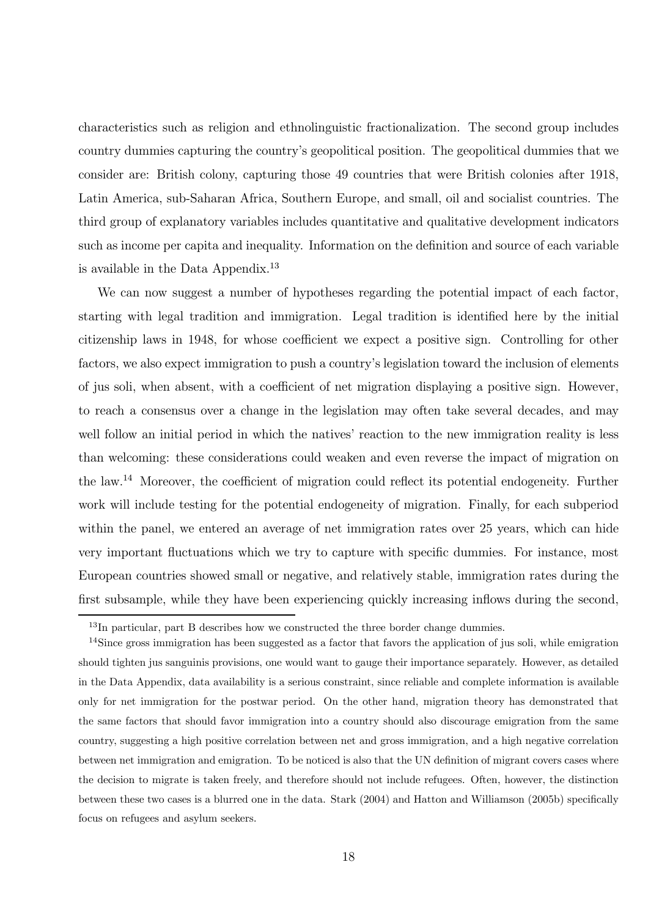characteristics such as religion and ethnolinguistic fractionalization. The second group includes country dummies capturing the country's geopolitical position. The geopolitical dummies that we consider are: British colony, capturing those 49 countries that were British colonies after 1918, Latin America, sub-Saharan Africa, Southern Europe, and small, oil and socialist countries. The third group of explanatory variables includes quantitative and qualitative development indicators such as income per capita and inequality. Information on the definition and source of each variable is available in the Data Appendix.<sup>13</sup>

We can now suggest a number of hypotheses regarding the potential impact of each factor. starting with legal tradition and immigration. Legal tradition is identified here by the initial citizenship laws in 1948, for whose coefficient we expect a positive sign. Controlling for other factors, we also expect immigration to push a country's legislation toward the inclusion of elements of jus soli, when absent, with a coefficient of net migration displaying a positive sign. However, to reach a consensus over a change in the legislation may often take several decades, and may well follow an initial period in which the natives' reaction to the new immigration reality is less than welcoming: these considerations could weaken and even reverse the impact of migration on the law.<sup>14</sup> Moreover, the coefficient of migration could reflect its potential endogeneity. Further work will include testing for the potential endogeneity of migration. Finally, for each subperiod within the panel, we entered an average of net immigration rates over 25 years, which can hide very important fluctuations which we try to capture with specific dummies. For instance, most European countries showed small or negative, and relatively stable, immigration rates during the first subsample, while they have been experiencing quickly increasing inflows during the second,

<sup>&</sup>lt;sup>13</sup>In particular, part B describes how we constructed the three border change dummies.

<sup>14</sup>Since gross immigration has been suggested as a factor that favors the application of jus soli, while emigration should tighten jus sanguinis provisions, one would want to gauge their importance separately. However, as detailed in the Data Appendix, data availability is a serious constraint, since reliable and complete information is available only for net immigration for the postwar period. On the other hand, migration theory has demonstrated that the same factors that should favor immigration into a country should also discourage emigration from the same country, suggesting a high positive correlation between net and gross immigration, and a high negative correlation between net immigration and emigration. To be noticed is also that the UN definition of migrant covers cases where the decision to migrate is taken freely, and therefore should not include refugees. Often, however, the distinction between these two cases is a blurred one in the data. Stark (2004) and Hatton and Williamson (2005b) specifically focus on refugees and asylum seekers.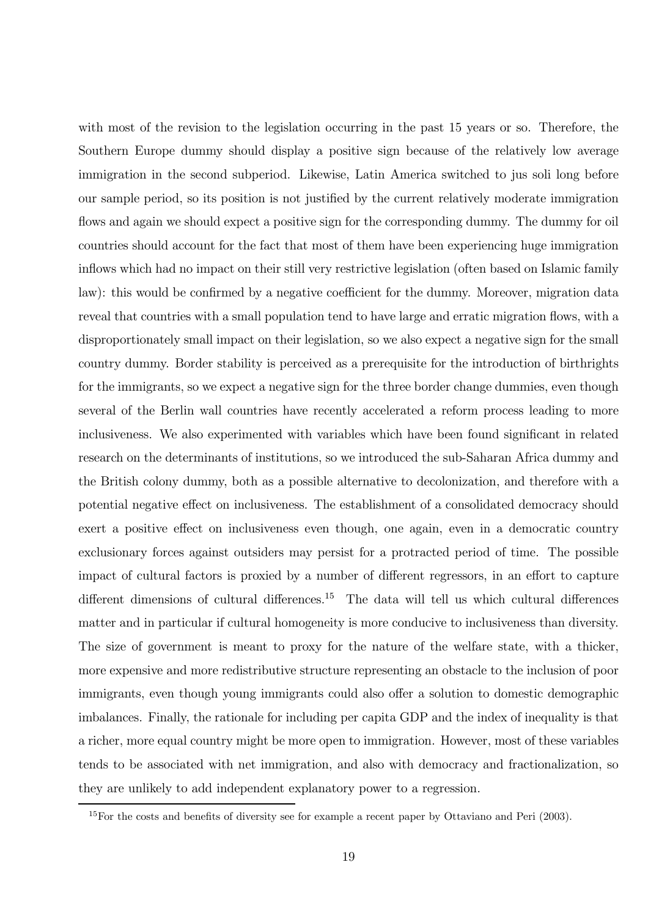with most of the revision to the legislation occurring in the past 15 years or so. Therefore, the Southern Europe dummy should display a positive sign because of the relatively low average immigration in the second subperiod. Likewise, Latin America switched to jus soli long before our sample period, so its position is not justified by the current relatively moderate immigration flows and again we should expect a positive sign for the corresponding dummy. The dummy for oil countries should account for the fact that most of them have been experiencing huge immigration inflows which had no impact on their still very restrictive legislation (often based on Islamic family law): this would be confirmed by a negative coefficient for the dummy. Moreover, migration data reveal that countries with a small population tend to have large and erratic migration flows, with a disproportionately small impact on their legislation, so we also expect a negative sign for the small country dummy. Border stability is perceived as a prerequisite for the introduction of birthrights for the immigrants, so we expect a negative sign for the three border change dummies, even though several of the Berlin wall countries have recently accelerated a reform process leading to more inclusiveness. We also experimented with variables which have been found significant in related research on the determinants of institutions, so we introduced the sub-Saharan Africa dummy and the British colony dummy, both as a possible alternative to decolonization, and therefore with a potential negative effect on inclusiveness. The establishment of a consolidated democracy should exert a positive effect on inclusiveness even though, one again, even in a democratic country exclusionary forces against outsiders may persist for a protracted period of time. The possible impact of cultural factors is proxied by a number of different regressors, in an effort to capture different dimensions of cultural differences.<sup>15</sup> The data will tell us which cultural differences matter and in particular if cultural homogeneity is more conducive to inclusiveness than diversity. The size of government is meant to proxy for the nature of the welfare state, with a thicker, more expensive and more redistributive structure representing an obstacle to the inclusion of poor immigrants, even though young immigrants could also offer a solution to domestic demographic imbalances. Finally, the rationale for including per capita GDP and the index of inequality is that a richer, more equal country might be more open to immigration. However, most of these variables tends to be associated with net immigration, and also with democracy and fractionalization, so they are unlikely to add independent explanatory power to a regression.

<sup>&</sup>lt;sup>15</sup>For the costs and benefits of diversity see for example a recent paper by Ottaviano and Peri (2003).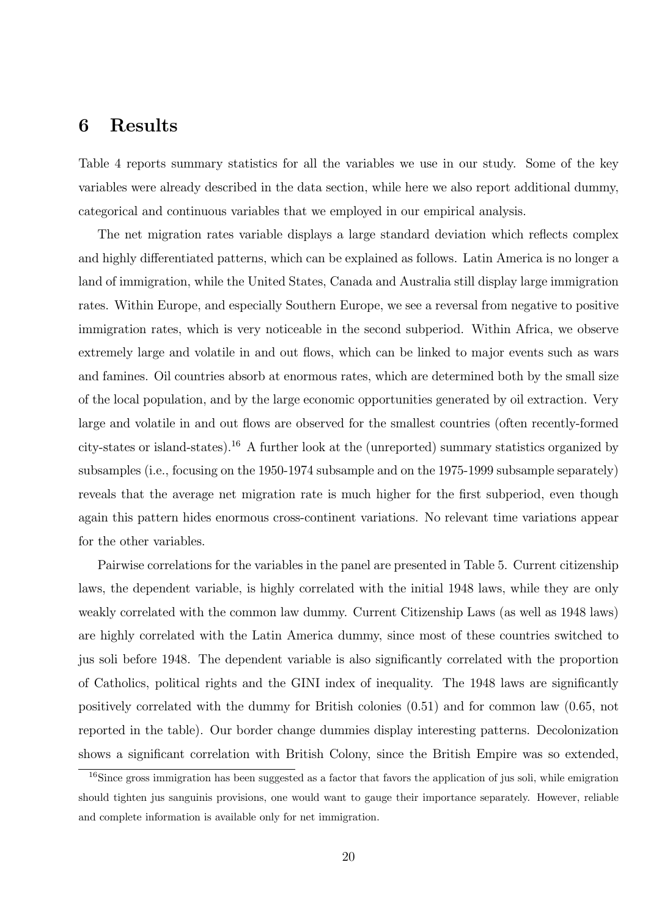### 6 Results

Table 4 reports summary statistics for all the variables we use in our study. Some of the key variables were already described in the data section, while here we also report additional dummy, categorical and continuous variables that we employed in our empirical analysis.

The net migration rates variable displays a large standard deviation which reflects complex and highly differentiated patterns, which can be explained as follows. Latin America is no longer a land of immigration, while the United States, Canada and Australia still display large immigration rates. Within Europe, and especially Southern Europe, we see a reversal from negative to positive immigration rates, which is very noticeable in the second subperiod. Within Africa, we observe extremely large and volatile in and out flows, which can be linked to major events such as wars and famines. Oil countries absorb at enormous rates, which are determined both by the small size of the local population, and by the large economic opportunities generated by oil extraction. Very large and volatile in and out flows are observed for the smallest countries (often recently-formed city-states or island-states).<sup>16</sup> A further look at the (unreported) summary statistics organized by subsamples (i.e., focusing on the 1950-1974 subsample and on the 1975-1999 subsample separately) reveals that the average net migration rate is much higher for the first subperiod, even though again this pattern hides enormous cross-continent variations. No relevant time variations appear for the other variables.

Pairwise correlations for the variables in the panel are presented in Table 5. Current citizenship laws, the dependent variable, is highly correlated with the initial 1948 laws, while they are only weakly correlated with the common law dummy. Current Citizenship Laws (as well as 1948 laws) are highly correlated with the Latin America dummy, since most of these countries switched to jus soli before 1948. The dependent variable is also significantly correlated with the proportion of Catholics, political rights and the GINI index of inequality. The 1948 laws are significantly positively correlated with the dummy for British colonies (0.51) and for common law (0.65, not reported in the table). Our border change dummies display interesting patterns. Decolonization shows a significant correlation with British Colony, since the British Empire was so extended,

<sup>&</sup>lt;sup>16</sup>Since gross immigration has been suggested as a factor that favors the application of jus soli, while emigration should tighten jus sanguinis provisions, one would want to gauge their importance separately. However, reliable and complete information is available only for net immigration.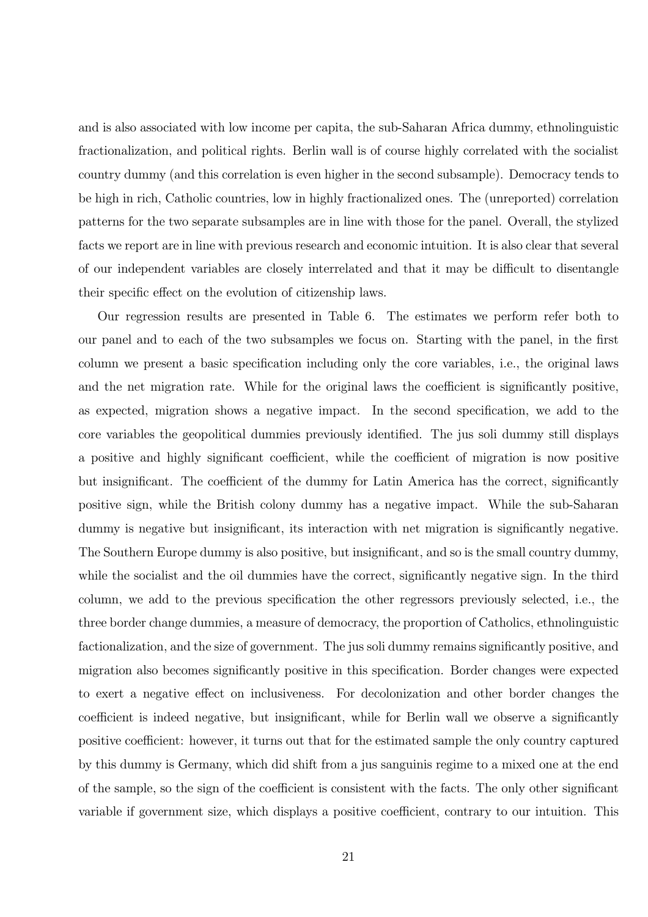and is also associated with low income per capita, the sub-Saharan Africa dummy, ethnolinguistic fractionalization, and political rights. Berlin wall is of course highly correlated with the socialist country dummy (and this correlation is even higher in the second subsample). Democracy tends to be high in rich, Catholic countries, low in highly fractionalized ones. The (unreported) correlation patterns for the two separate subsamples are in line with those for the panel. Overall, the stylized facts we report are in line with previous research and economic intuition. It is also clear that several of our independent variables are closely interrelated and that it may be difficult to disentangle their specific effect on the evolution of citizenship laws.

Our regression results are presented in Table 6. The estimates we perform refer both to our panel and to each of the two subsamples we focus on. Starting with the panel, in the first column we present a basic specification including only the core variables, i.e., the original laws and the net migration rate. While for the original laws the coefficient is significantly positive, as expected, migration shows a negative impact. In the second specification, we add to the core variables the geopolitical dummies previously identified. The jus soli dummy still displays a positive and highly significant coefficient, while the coefficient of migration is now positive but insignificant. The coefficient of the dummy for Latin America has the correct, significantly positive sign, while the British colony dummy has a negative impact. While the sub-Saharan dummy is negative but insignificant, its interaction with net migration is significantly negative. The Southern Europe dummy is also positive, but insignificant, and so is the small country dummy, while the socialist and the oil dummies have the correct, significantly negative sign. In the third column, we add to the previous specification the other regressors previously selected, i.e., the three border change dummies, a measure of democracy, the proportion of Catholics, ethnolinguistic factionalization, and the size of government. The jus soli dummy remains significantly positive, and migration also becomes significantly positive in this specification. Border changes were expected to exert a negative effect on inclusiveness. For decolonization and other border changes the coefficient is indeed negative, but insignificant, while for Berlin wall we observe a significantly positive coefficient: however, it turns out that for the estimated sample the only country captured by this dummy is Germany, which did shift from a jus sanguinis regime to a mixed one at the end of the sample, so the sign of the coefficient is consistent with the facts. The only other significant variable if government size, which displays a positive coefficient, contrary to our intuition. This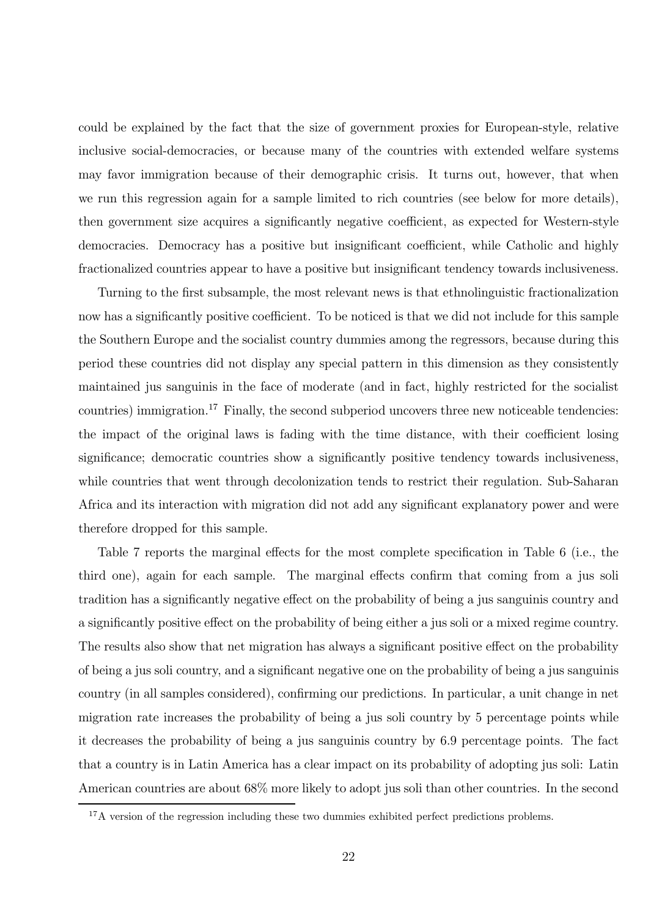could be explained by the fact that the size of government proxies for European-style, relative inclusive social-democracies, or because many of the countries with extended welfare systems may favor immigration because of their demographic crisis. It turns out, however, that when we run this regression again for a sample limited to rich countries (see below for more details), then government size acquires a significantly negative coefficient, as expected for Western-style democracies. Democracy has a positive but insignificant coefficient, while Catholic and highly fractionalized countries appear to have a positive but insignificant tendency towards inclusiveness.

Turning to the first subsample, the most relevant news is that ethnolinguistic fractionalization now has a significantly positive coefficient. To be noticed is that we did not include for this sample the Southern Europe and the socialist country dummies among the regressors, because during this period these countries did not display any special pattern in this dimension as they consistently maintained jus sanguinis in the face of moderate (and in fact, highly restricted for the socialist countries) immigration.<sup>17</sup> Finally, the second subperiod uncovers three new noticeable tendencies: the impact of the original laws is fading with the time distance, with their coefficient losing significance; democratic countries show a significantly positive tendency towards inclusiveness, while countries that went through decolonization tends to restrict their regulation. Sub-Saharan Africa and its interaction with migration did not add any significant explanatory power and were therefore dropped for this sample.

Table 7 reports the marginal effects for the most complete specification in Table 6 (i.e., the third one), again for each sample. The marginal effects confirm that coming from a jus soli tradition has a significantly negative effect on the probability of being a jus sanguinis country and a significantly positive effect on the probability of being either a jus soli or a mixed regime country. The results also show that net migration has always a significant positive effect on the probability of being a jus soli country, and a significant negative one on the probability of being a jus sanguinis country (in all samples considered), confirming our predictions. In particular, a unit change in net migration rate increases the probability of being a jus soli country by 5 percentage points while it decreases the probability of being a jus sanguinis country by 6.9 percentage points. The fact that a country is in Latin America has a clear impact on its probability of adopting jus soli: Latin American countries are about 68% more likely to adopt jus soli than other countries. In the second

<sup>&</sup>lt;sup>17</sup>A version of the regression including these two dummies exhibited perfect predictions problems.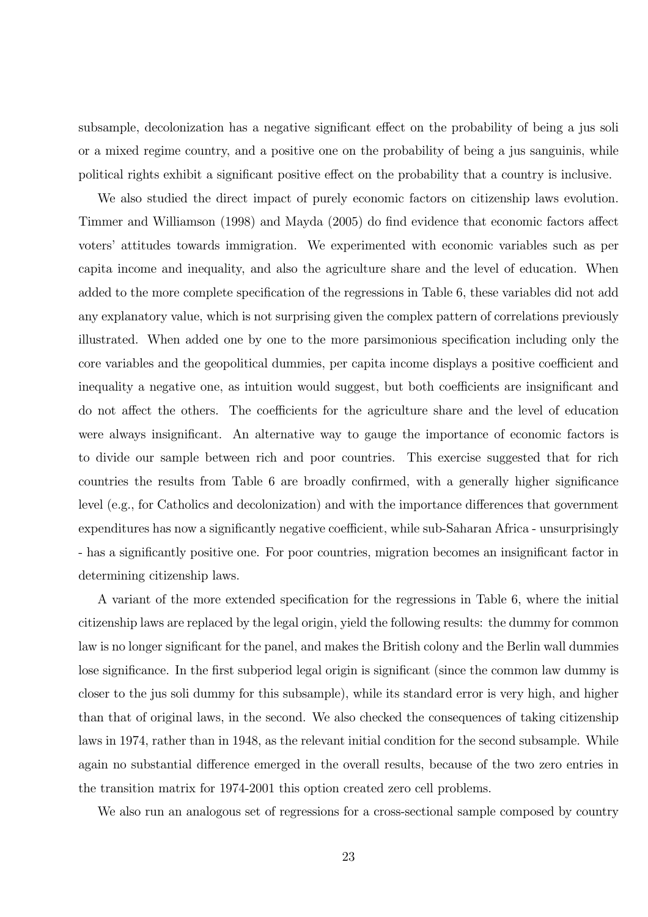subsample, decolonization has a negative significant effect on the probability of being a jus soli or a mixed regime country, and a positive one on the probability of being a jus sanguinis, while political rights exhibit a significant positive effect on the probability that a country is inclusive.

We also studied the direct impact of purely economic factors on citizenship laws evolution. Timmer and Williamson (1998) and Mayda (2005) do find evidence that economic factors affect voters' attitudes towards immigration. We experimented with economic variables such as per capita income and inequality, and also the agriculture share and the level of education. When added to the more complete specification of the regressions in Table 6, these variables did not add any explanatory value, which is not surprising given the complex pattern of correlations previously illustrated. When added one by one to the more parsimonious specification including only the core variables and the geopolitical dummies, per capita income displays a positive coefficient and inequality a negative one, as intuition would suggest, but both coefficients are insignificant and do not affect the others. The coefficients for the agriculture share and the level of education were always insignificant. An alternative way to gauge the importance of economic factors is to divide our sample between rich and poor countries. This exercise suggested that for rich countries the results from Table 6 are broadly confirmed, with a generally higher significance level (e.g., for Catholics and decolonization) and with the importance differences that government expenditures has now a significantly negative coefficient, while sub-Saharan Africa - unsurprisingly - has a significantly positive one. For poor countries, migration becomes an insignificant factor in determining citizenship laws.

A variant of the more extended specification for the regressions in Table 6, where the initial citizenship laws are replaced by the legal origin, yield the following results: the dummy for common law is no longer significant for the panel, and makes the British colony and the Berlin wall dummies lose significance. In the first subperiod legal origin is significant (since the common law dummy is closer to the jus soli dummy for this subsample), while its standard error is very high, and higher than that of original laws, in the second. We also checked the consequences of taking citizenship laws in 1974, rather than in 1948, as the relevant initial condition for the second subsample. While again no substantial difference emerged in the overall results, because of the two zero entries in the transition matrix for 1974-2001 this option created zero cell problems.

We also run an analogous set of regressions for a cross-sectional sample composed by country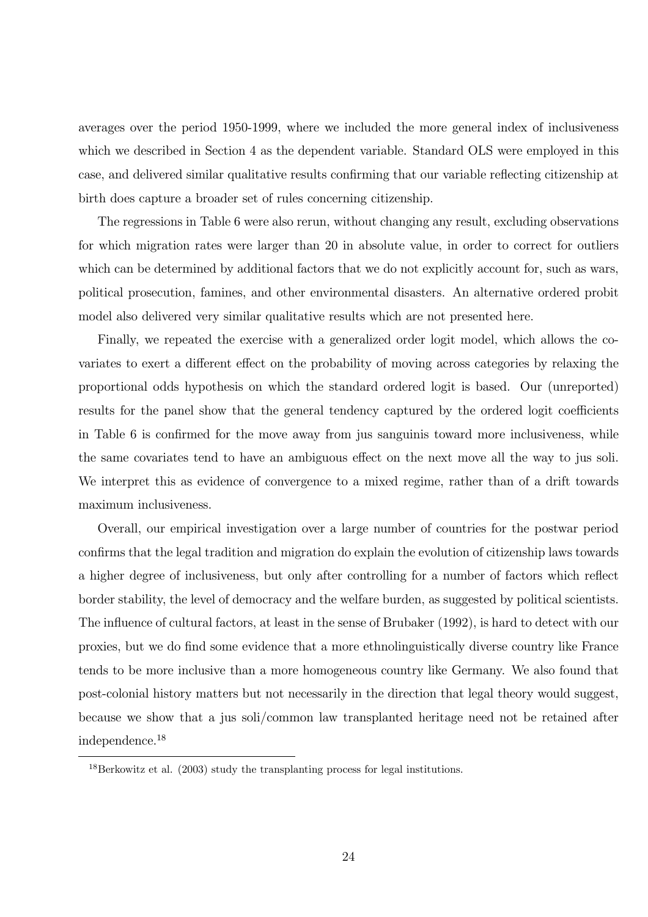averages over the period 1950-1999, where we included the more general index of inclusiveness which we described in Section 4 as the dependent variable. Standard OLS were employed in this case, and delivered similar qualitative results confirming that our variable reflecting citizenship at birth does capture a broader set of rules concerning citizenship.

The regressions in Table 6 were also rerun, without changing any result, excluding observations for which migration rates were larger than 20 in absolute value, in order to correct for outliers which can be determined by additional factors that we do not explicitly account for, such as wars, political prosecution, famines, and other environmental disasters. An alternative ordered probit model also delivered very similar qualitative results which are not presented here.

Finally, we repeated the exercise with a generalized order logit model, which allows the covariates to exert a different effect on the probability of moving across categories by relaxing the proportional odds hypothesis on which the standard ordered logit is based. Our (unreported) results for the panel show that the general tendency captured by the ordered logit coefficients in Table 6 is confirmed for the move away from jus sanguinis toward more inclusiveness, while the same covariates tend to have an ambiguous effect on the next move all the way to jus soli. We interpret this as evidence of convergence to a mixed regime, rather than of a drift towards maximum inclusiveness.

Overall, our empirical investigation over a large number of countries for the postwar period confirms that the legal tradition and migration do explain the evolution of citizenship laws towards a higher degree of inclusiveness, but only after controlling for a number of factors which reflect border stability, the level of democracy and the welfare burden, as suggested by political scientists. The influence of cultural factors, at least in the sense of Brubaker (1992), is hard to detect with our proxies, but we do find some evidence that a more ethnolinguistically diverse country like France tends to be more inclusive than a more homogeneous country like Germany. We also found that post-colonial history matters but not necessarily in the direction that legal theory would suggest, because we show that a jus soli/common law transplanted heritage need not be retained after independence.<sup>18</sup>

<sup>18</sup>Berkowitz et al. (2003) study the transplanting process for legal institutions.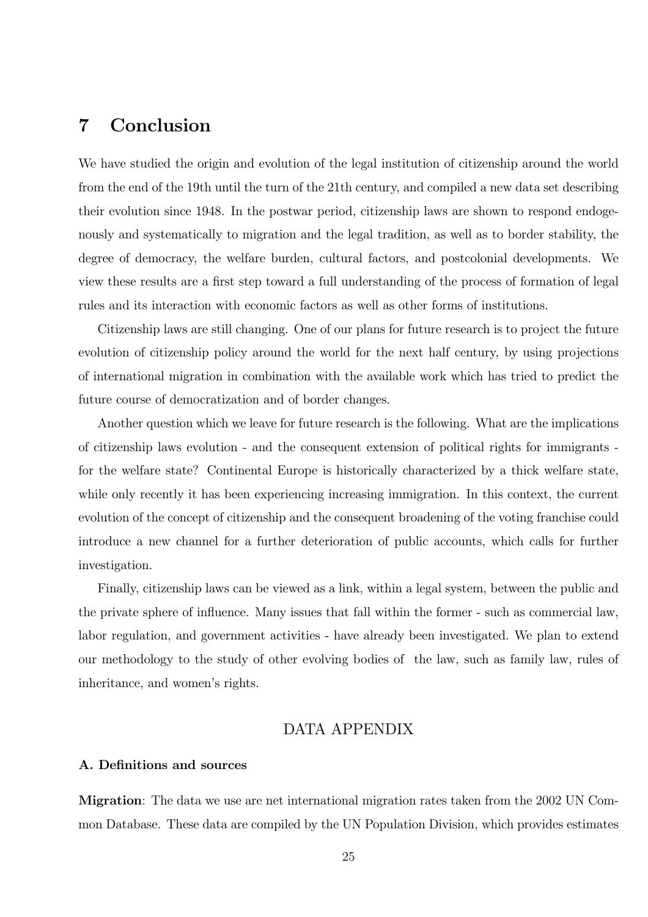# 7 Conclusion

We have studied the origin and evolution of the legal institution of citizenship around the world from the end of the 19th until the turn of the 21th century, and compiled a new data set describing their evolution since 1948. In the postwar period, citizenship laws are shown to respond endogenously and systematically to migration and the legal tradition, as well as to border stability, the degree of democracy, the welfare burden, cultural factors, and postcolonial developments. We view these results are a first step toward a full understanding of the process of formation of legal rules and its interaction with economic factors as well as other forms of institutions.

Citizenship laws are still changing. One of our plans for future research is to project the future evolution of citizenship policy around the world for the next half century, by using projections of international migration in combination with the available work which has tried to predict the future course of democratization and of border changes.

Another question which we leave for future research is the following. What are the implications of citizenship laws evolution - and the consequent extension of political rights for immigrants for the welfare state? Continental Europe is historically characterized by a thick welfare state, while only recently it has been experiencing increasing immigration. In this context, the current evolution of the concept of citizenship and the consequent broadening of the voting franchise could introduce a new channel for a further deterioration of public accounts, which calls for further investigation.

Finally, citizenship laws can be viewed as a link, within a legal system, between the public and the private sphere of influence. Many issues that fall within the former - such as commercial law, labor regulation, and government activities - have already been investigated. We plan to extend our methodology to the study of other evolving bodies of the law, such as family law, rules of inheritance, and women's rights.

#### DATA APPENDIX

#### A. Definitions and sources

Migration: The data we use are net international migration rates taken from the 2002 UN Common Database. These data are compiled by the UN Population Division, which provides estimates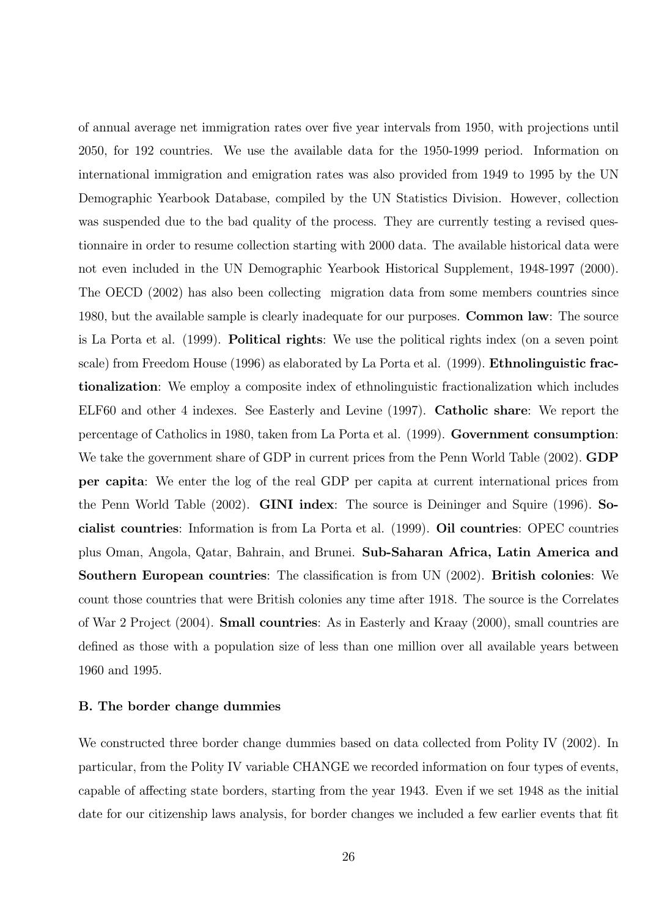of annual average net immigration rates over five year intervals from 1950, with projections until 2050, for 192 countries. We use the available data for the 1950-1999 period. Information on international immigration and emigration rates was also provided from 1949 to 1995 by the UN Demographic Yearbook Database, compiled by the UN Statistics Division. However, collection was suspended due to the bad quality of the process. They are currently testing a revised questionnaire in order to resume collection starting with 2000 data. The available historical data were not even included in the UN Demographic Yearbook Historical Supplement, 1948-1997 (2000). The OECD (2002) has also been collecting migration data from some members countries since 1980, but the available sample is clearly inadequate for our purposes. Common law: The source is La Porta et al. (1999). Political rights: We use the political rights index (on a seven point scale) from Freedom House (1996) as elaborated by La Porta et al. (1999). Ethnolinguistic fractionalization: We employ a composite index of ethnolinguistic fractionalization which includes ELF60 and other 4 indexes. See Easterly and Levine (1997). Catholic share: We report the percentage of Catholics in 1980, taken from La Porta et al. (1999). Government consumption: We take the government share of GDP in current prices from the Penn World Table (2002). **GDP** per capita: We enter the log of the real GDP per capita at current international prices from the Penn World Table (2002). GINI index: The source is Deininger and Squire (1996). Socialist countries: Information is from La Porta et al. (1999). Oil countries: OPEC countries plus Oman, Angola, Qatar, Bahrain, and Brunei. Sub-Saharan Africa, Latin America and Southern European countries: The classification is from UN (2002). British colonies: We count those countries that were British colonies any time after 1918. The source is the Correlates of War 2 Project (2004). Small countries: As in Easterly and Kraay (2000), small countries are defined as those with a population size of less than one million over all available years between 1960 and 1995.

#### B. The border change dummies

We constructed three border change dummies based on data collected from Polity IV (2002). In particular, from the Polity IV variable CHANGE we recorded information on four types of events, capable of affecting state borders, starting from the year 1943. Even if we set 1948 as the initial date for our citizenship laws analysis, for border changes we included a few earlier events that fit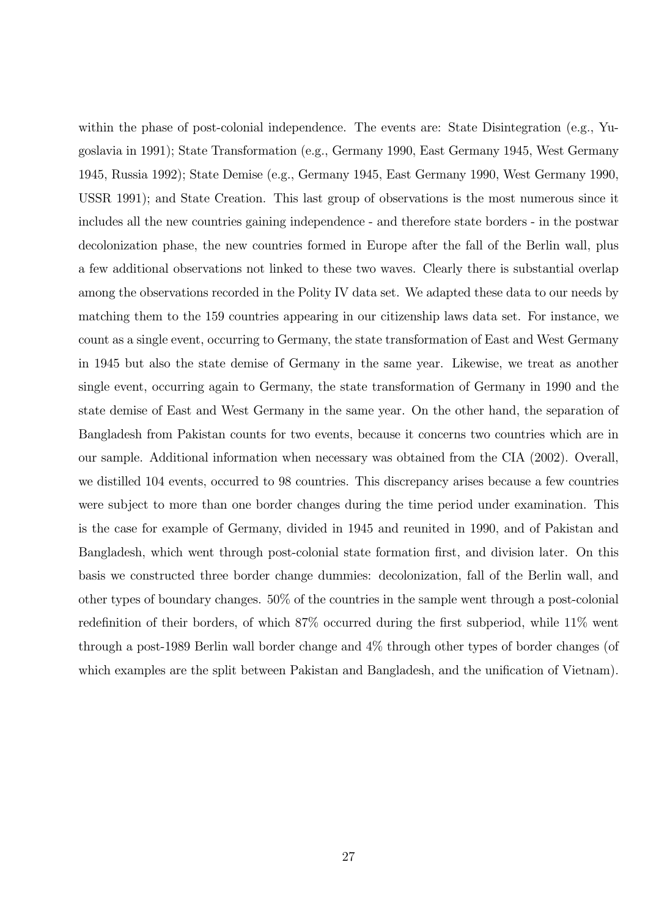within the phase of post-colonial independence. The events are: State Disintegration (e.g., Yugoslavia in 1991); State Transformation (e.g., Germany 1990, East Germany 1945, West Germany 1945, Russia 1992); State Demise (e.g., Germany 1945, East Germany 1990, West Germany 1990, USSR 1991); and State Creation. This last group of observations is the most numerous since it includes all the new countries gaining independence - and therefore state borders - in the postwar decolonization phase, the new countries formed in Europe after the fall of the Berlin wall, plus a few additional observations not linked to these two waves. Clearly there is substantial overlap among the observations recorded in the Polity IV data set. We adapted these data to our needs by matching them to the 159 countries appearing in our citizenship laws data set. For instance, we count as a single event, occurring to Germany, the state transformation of East and West Germany in 1945 but also the state demise of Germany in the same year. Likewise, we treat as another single event, occurring again to Germany, the state transformation of Germany in 1990 and the state demise of East and West Germany in the same year. On the other hand, the separation of Bangladesh from Pakistan counts for two events, because it concerns two countries which are in our sample. Additional information when necessary was obtained from the CIA (2002). Overall, we distilled 104 events, occurred to 98 countries. This discrepancy arises because a few countries were subject to more than one border changes during the time period under examination. This is the case for example of Germany, divided in 1945 and reunited in 1990, and of Pakistan and Bangladesh, which went through post-colonial state formation first, and division later. On this basis we constructed three border change dummies: decolonization, fall of the Berlin wall, and other types of boundary changes. 50% of the countries in the sample went through a post-colonial redefinition of their borders, of which 87% occurred during the first subperiod, while 11% went through a post-1989 Berlin wall border change and 4% through other types of border changes (of which examples are the split between Pakistan and Bangladesh, and the unification of Vietnam).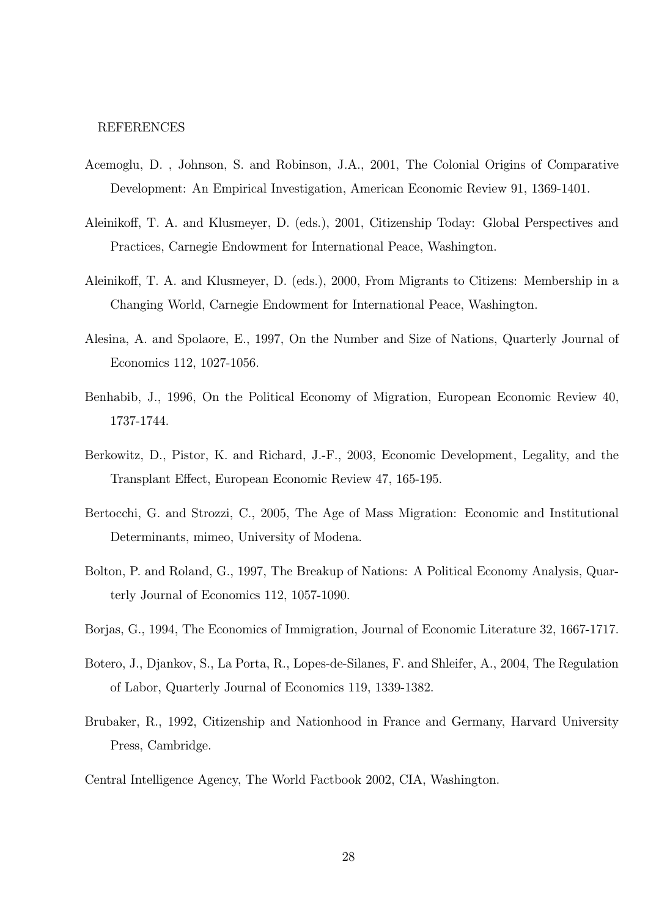#### REFERENCES

- Acemoglu, D. , Johnson, S. and Robinson, J.A., 2001, The Colonial Origins of Comparative Development: An Empirical Investigation, American Economic Review 91, 1369-1401.
- Aleinikoff, T. A. and Klusmeyer, D. (eds.), 2001, Citizenship Today: Global Perspectives and Practices, Carnegie Endowment for International Peace, Washington.
- Aleinikoff, T. A. and Klusmeyer, D. (eds.), 2000, From Migrants to Citizens: Membership in a Changing World, Carnegie Endowment for International Peace, Washington.
- Alesina, A. and Spolaore, E., 1997, On the Number and Size of Nations, Quarterly Journal of Economics 112, 1027-1056.
- Benhabib, J., 1996, On the Political Economy of Migration, European Economic Review 40, 1737-1744.
- Berkowitz, D., Pistor, K. and Richard, J.-F., 2003, Economic Development, Legality, and the Transplant Effect, European Economic Review 47, 165-195.
- Bertocchi, G. and Strozzi, C., 2005, The Age of Mass Migration: Economic and Institutional Determinants, mimeo, University of Modena.
- Bolton, P. and Roland, G., 1997, The Breakup of Nations: A Political Economy Analysis, Quarterly Journal of Economics 112, 1057-1090.
- Borjas, G., 1994, The Economics of Immigration, Journal of Economic Literature 32, 1667-1717.
- Botero, J., Djankov, S., La Porta, R., Lopes-de-Silanes, F. and Shleifer, A., 2004, The Regulation of Labor, Quarterly Journal of Economics 119, 1339-1382.
- Brubaker, R., 1992, Citizenship and Nationhood in France and Germany, Harvard University Press, Cambridge.
- Central Intelligence Agency, The World Factbook 2002, CIA, Washington.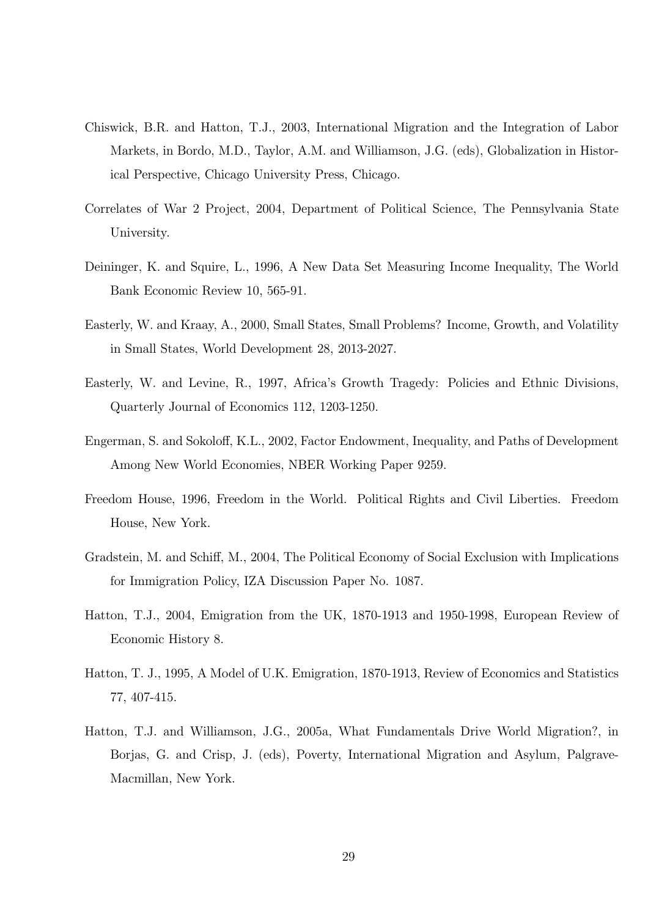- Chiswick, B.R. and Hatton, T.J., 2003, International Migration and the Integration of Labor Markets, in Bordo, M.D., Taylor, A.M. and Williamson, J.G. (eds), Globalization in Historical Perspective, Chicago University Press, Chicago.
- Correlates of War 2 Project, 2004, Department of Political Science, The Pennsylvania State University.
- Deininger, K. and Squire, L., 1996, A New Data Set Measuring Income Inequality, The World Bank Economic Review 10, 565-91.
- Easterly, W. and Kraay, A., 2000, Small States, Small Problems? Income, Growth, and Volatility in Small States, World Development 28, 2013-2027.
- Easterly, W. and Levine, R., 1997, Africa's Growth Tragedy: Policies and Ethnic Divisions, Quarterly Journal of Economics 112, 1203-1250.
- Engerman, S. and Sokoloff, K.L., 2002, Factor Endowment, Inequality, and Paths of Development Among New World Economies, NBER Working Paper 9259.
- Freedom House, 1996, Freedom in the World. Political Rights and Civil Liberties. Freedom House, New York.
- Gradstein, M. and Schiff, M., 2004, The Political Economy of Social Exclusion with Implications for Immigration Policy, IZA Discussion Paper No. 1087.
- Hatton, T.J., 2004, Emigration from the UK, 1870-1913 and 1950-1998, European Review of Economic History 8.
- Hatton, T. J., 1995, A Model of U.K. Emigration, 1870-1913, Review of Economics and Statistics 77, 407-415.
- Hatton, T.J. and Williamson, J.G., 2005a, What Fundamentals Drive World Migration?, in Borjas, G. and Crisp, J. (eds), Poverty, International Migration and Asylum, Palgrave-Macmillan, New York.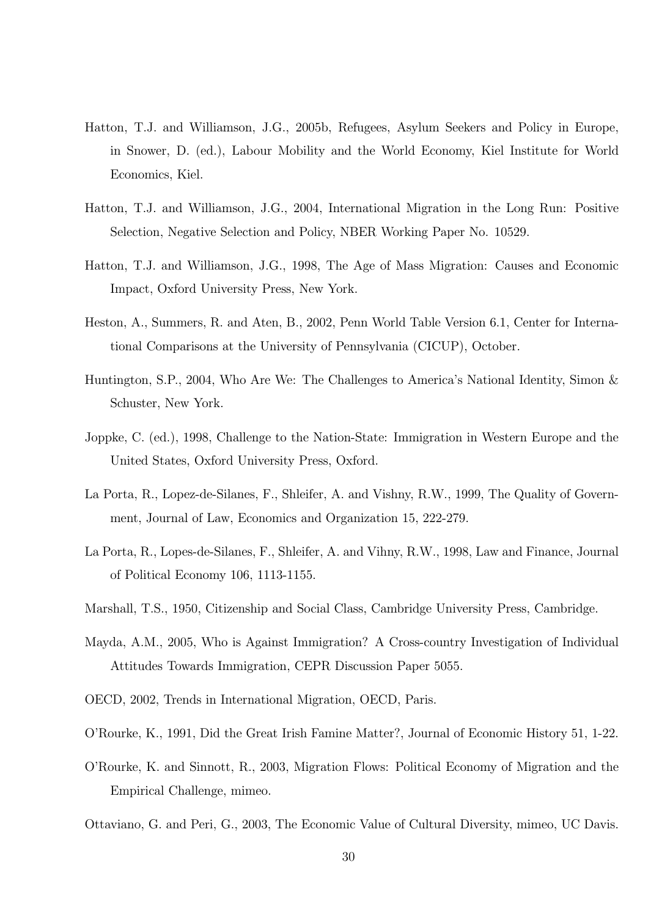- Hatton, T.J. and Williamson, J.G., 2005b, Refugees, Asylum Seekers and Policy in Europe, in Snower, D. (ed.), Labour Mobility and the World Economy, Kiel Institute for World Economics, Kiel.
- Hatton, T.J. and Williamson, J.G., 2004, International Migration in the Long Run: Positive Selection, Negative Selection and Policy, NBER Working Paper No. 10529.
- Hatton, T.J. and Williamson, J.G., 1998, The Age of Mass Migration: Causes and Economic Impact, Oxford University Press, New York.
- Heston, A., Summers, R. and Aten, B., 2002, Penn World Table Version 6.1, Center for International Comparisons at the University of Pennsylvania (CICUP), October.
- Huntington, S.P., 2004, Who Are We: The Challenges to America's National Identity, Simon & Schuster, New York.
- Joppke, C. (ed.), 1998, Challenge to the Nation-State: Immigration in Western Europe and the United States, Oxford University Press, Oxford.
- La Porta, R., Lopez-de-Silanes, F., Shleifer, A. and Vishny, R.W., 1999, The Quality of Government, Journal of Law, Economics and Organization 15, 222-279.
- La Porta, R., Lopes-de-Silanes, F., Shleifer, A. and Vihny, R.W., 1998, Law and Finance, Journal of Political Economy 106, 1113-1155.
- Marshall, T.S., 1950, Citizenship and Social Class, Cambridge University Press, Cambridge.
- Mayda, A.M., 2005, Who is Against Immigration? A Cross-country Investigation of Individual Attitudes Towards Immigration, CEPR Discussion Paper 5055.
- OECD, 2002, Trends in International Migration, OECD, Paris.
- O'Rourke, K., 1991, Did the Great Irish Famine Matter?, Journal of Economic History 51, 1-22.
- O'Rourke, K. and Sinnott, R., 2003, Migration Flows: Political Economy of Migration and the Empirical Challenge, mimeo.
- Ottaviano, G. and Peri, G., 2003, The Economic Value of Cultural Diversity, mimeo, UC Davis.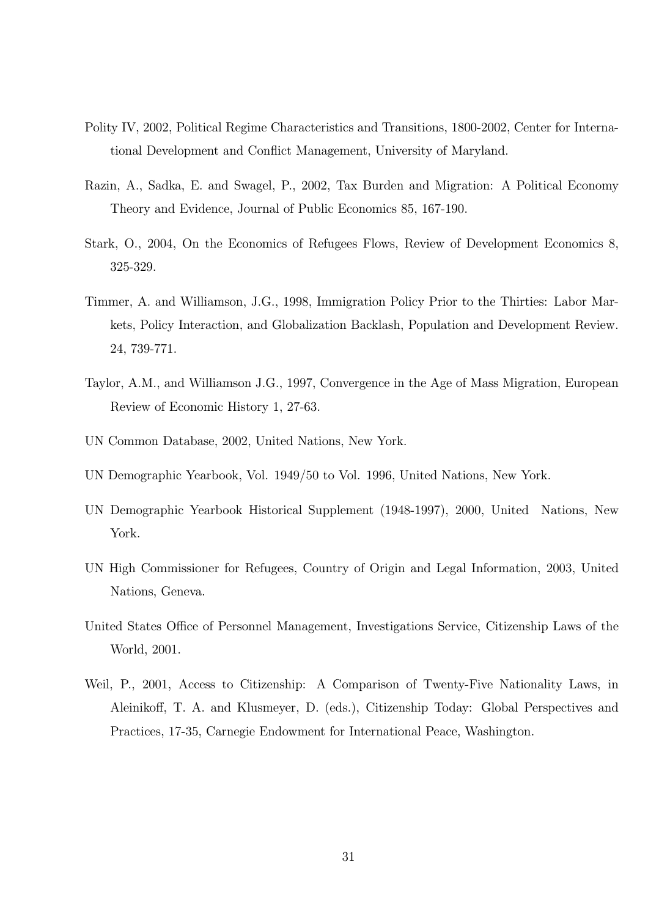- Polity IV, 2002, Political Regime Characteristics and Transitions, 1800-2002, Center for International Development and Conflict Management, University of Maryland.
- Razin, A., Sadka, E. and Swagel, P., 2002, Tax Burden and Migration: A Political Economy Theory and Evidence, Journal of Public Economics 85, 167-190.
- Stark, O., 2004, On the Economics of Refugees Flows, Review of Development Economics 8, 325-329.
- Timmer, A. and Williamson, J.G., 1998, Immigration Policy Prior to the Thirties: Labor Markets, Policy Interaction, and Globalization Backlash, Population and Development Review. 24, 739-771.
- Taylor, A.M., and Williamson J.G., 1997, Convergence in the Age of Mass Migration, European Review of Economic History 1, 27-63.
- UN Common Database, 2002, United Nations, New York.
- UN Demographic Yearbook, Vol. 1949/50 to Vol. 1996, United Nations, New York.
- UN Demographic Yearbook Historical Supplement (1948-1997), 2000, United Nations, New York.
- UN High Commissioner for Refugees, Country of Origin and Legal Information, 2003, United Nations, Geneva.
- United States Office of Personnel Management, Investigations Service, Citizenship Laws of the World, 2001.
- Weil, P., 2001, Access to Citizenship: A Comparison of Twenty-Five Nationality Laws, in Aleinikoff, T. A. and Klusmeyer, D. (eds.), Citizenship Today: Global Perspectives and Practices, 17-35, Carnegie Endowment for International Peace, Washington.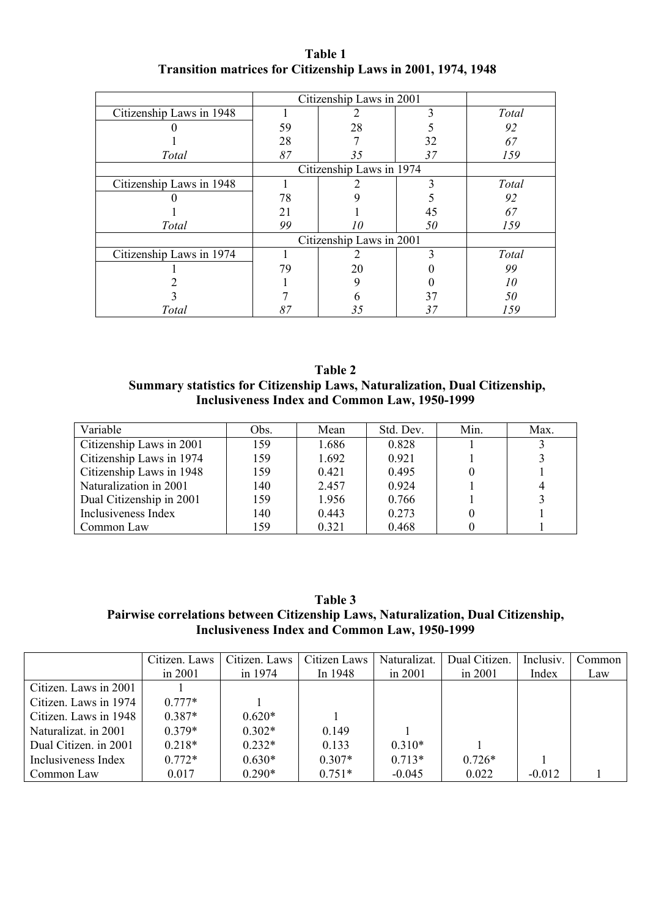| Table 1                                                             |  |  |  |  |  |  |  |  |  |
|---------------------------------------------------------------------|--|--|--|--|--|--|--|--|--|
| <b>Transition matrices for Citizenship Laws in 2001, 1974, 1948</b> |  |  |  |  |  |  |  |  |  |

|                          | Citizenship Laws in 2001 |                          |               |       |
|--------------------------|--------------------------|--------------------------|---------------|-------|
| Citizenship Laws in 1948 |                          |                          | 3             | Total |
|                          | 59                       | 28                       |               | 92    |
|                          | 28                       |                          | 32            | 67    |
| Total                    | 87                       | 35                       | 37            | 159   |
|                          |                          | Citizenship Laws in 1974 |               |       |
| Citizenship Laws in 1948 |                          |                          | 3             | Total |
|                          | 78                       |                          |               | 92    |
|                          | 21                       |                          | 45            | 67    |
| Total                    | 99                       | 10                       | 50            | 159   |
|                          |                          | Citizenship Laws in 2001 |               |       |
| Citizenship Laws in 1974 |                          |                          | $\mathcal{E}$ | Total |
|                          | 79                       | 20                       |               | 99    |
|                          |                          |                          |               | 10    |
|                          |                          |                          | 37            | 50    |
| Total                    | 87                       | 35                       | 37            | 159   |

**Table 2 Summary statistics for Citizenship Laws, Naturalization, Dual Citizenship, Inclusiveness Index and Common Law, 1950-1999** 

| Variable                 | Obs. | Mean  | Std. Dev. | Min. | Max. |
|--------------------------|------|-------|-----------|------|------|
| Citizenship Laws in 2001 | 159  | 1.686 | 0.828     |      |      |
| Citizenship Laws in 1974 | 159  | 1.692 | 0.921     |      |      |
| Citizenship Laws in 1948 | 159  | 0.421 | 0.495     |      |      |
| Naturalization in 2001   | 140  | 2.457 | 0 9 2 4   |      |      |
| Dual Citizenship in 2001 | 159  | 1.956 | 0.766     |      |      |
| Inclusiveness Index      | 140  | 0.443 | 0 2 7 3   |      |      |
| Common Law               | 159  | 0.321 | 0.468     |      |      |

**Table 3 Pairwise correlations between Citizenship Laws, Naturalization, Dual Citizenship, Inclusiveness Index and Common Law, 1950-1999** 

|                       | Citizen. Laws | Citizen. Laws | Citizen Laws | Naturalizat. | Dual Citizen. | Inclusiv. | Common |
|-----------------------|---------------|---------------|--------------|--------------|---------------|-----------|--------|
|                       | in $2001$     | in 1974       | In 1948      | in $2001$    | in $2001$     | Index     | Law    |
| Citizen. Laws in 2001 |               |               |              |              |               |           |        |
| Citizen. Laws in 1974 | $0.777*$      |               |              |              |               |           |        |
| Citizen. Laws in 1948 | $0.387*$      | $0.620*$      |              |              |               |           |        |
| Naturalizat. in 2001  | $0.379*$      | $0.302*$      | 0.149        |              |               |           |        |
| Dual Citizen, in 2001 | $0.218*$      | $0.232*$      | 0.133        | $0.310*$     |               |           |        |
| Inclusiveness Index   | $0.772*$      | $0.630*$      | $0.307*$     | $0.713*$     | $0.726*$      |           |        |
| Common Law            | 0.017         | $0.290*$      | $0.751*$     | $-0.045$     | 0.022         | $-0.012$  |        |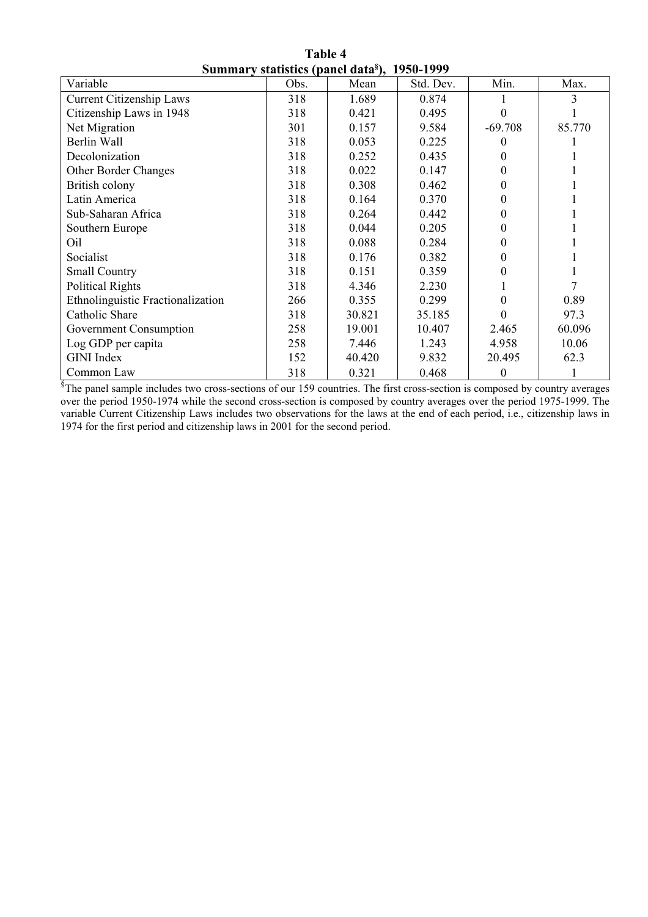| Table 4                                                  |  |  |  |  |  |  |  |  |  |
|----------------------------------------------------------|--|--|--|--|--|--|--|--|--|
| Summary statistics (panel data <sup>§</sup> ), 1950-1999 |  |  |  |  |  |  |  |  |  |

| $\beta$ ummary statistics (palici data), 1730–1777                                                                                      |      |        |           |           |        |  |  |  |  |  |
|-----------------------------------------------------------------------------------------------------------------------------------------|------|--------|-----------|-----------|--------|--|--|--|--|--|
| Variable                                                                                                                                | Obs. | Mean   | Std. Dev. | Min.      | Max.   |  |  |  |  |  |
| <b>Current Citizenship Laws</b>                                                                                                         | 318  | 1.689  | 0.874     |           | 3      |  |  |  |  |  |
| Citizenship Laws in 1948                                                                                                                | 318  | 0.421  | 0.495     |           |        |  |  |  |  |  |
| Net Migration                                                                                                                           | 301  | 0.157  | 9.584     | $-69.708$ | 85.770 |  |  |  |  |  |
| Berlin Wall                                                                                                                             | 318  | 0.053  | 0.225     | $\theta$  |        |  |  |  |  |  |
| Decolonization                                                                                                                          | 318  | 0.252  | 0.435     | $\Omega$  |        |  |  |  |  |  |
| Other Border Changes                                                                                                                    | 318  | 0.022  | 0.147     | 0         |        |  |  |  |  |  |
| British colony                                                                                                                          | 318  | 0.308  | 0.462     | 0         |        |  |  |  |  |  |
| Latin America                                                                                                                           | 318  | 0.164  | 0.370     | $\theta$  |        |  |  |  |  |  |
| Sub-Saharan Africa                                                                                                                      | 318  | 0.264  | 0.442     | 0         |        |  |  |  |  |  |
| Southern Europe                                                                                                                         | 318  | 0.044  | 0.205     | 0         |        |  |  |  |  |  |
| Oil                                                                                                                                     | 318  | 0.088  | 0.284     | 0         |        |  |  |  |  |  |
| Socialist                                                                                                                               | 318  | 0.176  | 0.382     | 0         |        |  |  |  |  |  |
| <b>Small Country</b>                                                                                                                    | 318  | 0.151  | 0.359     | 0         |        |  |  |  |  |  |
| <b>Political Rights</b>                                                                                                                 | 318  | 4.346  | 2.230     |           |        |  |  |  |  |  |
| Ethnolinguistic Fractionalization                                                                                                       | 266  | 0.355  | 0.299     | 0         | 0.89   |  |  |  |  |  |
| Catholic Share                                                                                                                          | 318  | 30.821 | 35.185    |           | 97.3   |  |  |  |  |  |
| Government Consumption                                                                                                                  | 258  | 19.001 | 10.407    | 2.465     | 60.096 |  |  |  |  |  |
| Log GDP per capita                                                                                                                      | 258  | 7.446  | 1.243     | 4.958     | 10.06  |  |  |  |  |  |
| <b>GINI</b> Index                                                                                                                       | 152  | 40.420 | 9.832     | 20.495    | 62.3   |  |  |  |  |  |
| Common Law                                                                                                                              | 318  | 0.321  | 0.468     | $\theta$  |        |  |  |  |  |  |
| <sup>§</sup> The panel sample includes two cross-sections of our 159 countries. The first cross-section is composed by country averages |      |        |           |           |        |  |  |  |  |  |

over the period 1950-1974 while the second cross-section is composed by country averages over the period 1975-1999. The variable Current Citizenship Laws includes two observations for the laws at the end of each period, i.e., citizenship laws in 1974 for the first period and citizenship laws in 2001 for the second period.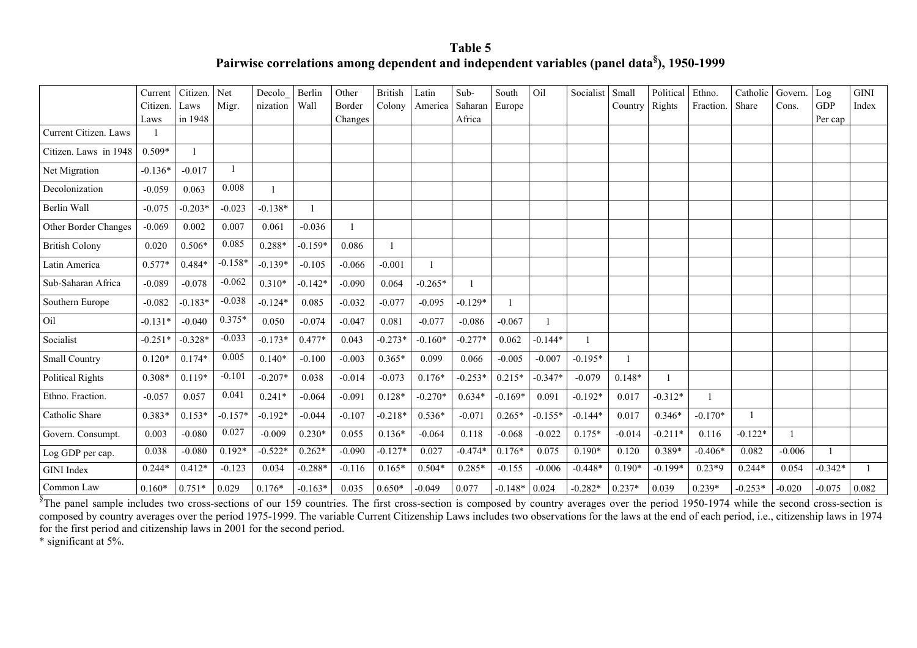**Table 5 Pairwise correlations among dependent and independent variables (panel data§), 1950-1999** 

|                       | Current<br>Citizen. | Citizen.<br>Laws | Net<br>Migr. | Decolo<br>nization | Berlin<br>Wall | Other<br>Border | <b>British</b><br>Colony | Latin<br>America | Sub-<br>Saharan | South<br>Europe | Oil       | Socialist | Small<br>Country | Political<br>Rights | Ethno.<br>Fraction. | Catholic<br>Share | Govern.<br>Cons. | Log<br><b>GDP</b> | <b>GINI</b><br>Index |
|-----------------------|---------------------|------------------|--------------|--------------------|----------------|-----------------|--------------------------|------------------|-----------------|-----------------|-----------|-----------|------------------|---------------------|---------------------|-------------------|------------------|-------------------|----------------------|
| Current Citizen. Laws | Laws                | in 1948          |              |                    |                | Changes         |                          |                  | Africa          |                 |           |           |                  |                     |                     |                   |                  | Per cap           |                      |
| Citizen. Laws in 1948 | $0.509*$            |                  |              |                    |                |                 |                          |                  |                 |                 |           |           |                  |                     |                     |                   |                  |                   |                      |
| Net Migration         | $-0.136*$           | $-0.017$         |              |                    |                |                 |                          |                  |                 |                 |           |           |                  |                     |                     |                   |                  |                   |                      |
| Decolonization        | $-0.059$            | 0.063            | 0.008        |                    |                |                 |                          |                  |                 |                 |           |           |                  |                     |                     |                   |                  |                   |                      |
| Berlin Wall           | $-0.075$            | $-0.203*$        | $-0.023$     | $-0.138*$          |                |                 |                          |                  |                 |                 |           |           |                  |                     |                     |                   |                  |                   |                      |
| Other Border Changes  | $-0.069$            | 0.002            | 0.007        | 0.061              | $-0.036$       |                 |                          |                  |                 |                 |           |           |                  |                     |                     |                   |                  |                   |                      |
| <b>British Colony</b> | 0.020               | $0.506*$         | 0.085        | $0.288*$           | $-0.159*$      | 0.086           |                          |                  |                 |                 |           |           |                  |                     |                     |                   |                  |                   |                      |
| Latin America         | $0.577*$            | $0.484*$         | $-0.158*$    | $-0.139*$          | $-0.105$       | $-0.066$        | $-0.001$                 |                  |                 |                 |           |           |                  |                     |                     |                   |                  |                   |                      |
| Sub-Saharan Africa    | $-0.089$            | $-0.078$         | $-0.062$     | $0.310*$           | $-0.142*$      | $-0.090$        | 0.064                    | $-0.265*$        |                 |                 |           |           |                  |                     |                     |                   |                  |                   |                      |
| Southern Europe       | $-0.082$            | $-0.183*$        | $-0.038$     | $-0.124*$          | 0.085          | $-0.032$        | $-0.077$                 | $-0.095$         | $-0.129*$       |                 |           |           |                  |                     |                     |                   |                  |                   |                      |
| Oil                   | $-0.131*$           | $-0.040$         | $0.375*$     | 0.050              | $-0.074$       | $-0.047$        | 0.081                    | $-0.077$         | $-0.086$        | $-0.067$        |           |           |                  |                     |                     |                   |                  |                   |                      |
| Socialist             | $-0.251*$           | $-0.328*$        | $-0.033$     | $-0.173*$          | $0.477*$       | 0.043           | $-0.273*$                | $-0.160*$        | $-0.277*$       | 0.062           | $-0.144*$ |           |                  |                     |                     |                   |                  |                   |                      |
| Small Country         | $0.120*$            | $0.174*$         | 0.005        | $0.140*$           | $-0.100$       | $-0.003$        | $0.365*$                 | 0.099            | 0.066           | $-0.005$        | $-0.007$  | $-0.195*$ |                  |                     |                     |                   |                  |                   |                      |
| Political Rights      | $0.308*$            | $0.119*$         | $-0.101$     | $-0.207*$          | 0.038          | $-0.014$        | $-0.073$                 | $0.176*$         | $-0.253*$       | $0.215*$        | $-0.347*$ | $-0.079$  | $0.148*$         |                     |                     |                   |                  |                   |                      |
| Ethno. Fraction.      | $-0.057$            | 0.057            | 0.041        | $0.241*$           | $-0.064$       | $-0.091$        | $0.128*$                 | $-0.270*$        | $0.634*$        | $-0.169*$       | 0.091     | $-0.192*$ | 0.017            | $-0.312*$           |                     |                   |                  |                   |                      |
| Catholic Share        | $0.383*$            | $0.153*$         | $-0.157*$    | $-0.192*$          | $-0.044$       | $-0.107$        | $-0.218*$                | $0.536*$         | $-0.071$        | $0.265*$        | $-0.155*$ | $-0.144*$ | 0.017            | $0.346*$            | $-0.170*$           |                   |                  |                   |                      |
| Govern. Consumpt.     | 0.003               | $-0.080$         | 0.027        | $-0.009$           | $0.230*$       | 0.055           | $0.136*$                 | $-0.064$         | 0.118           | $-0.068$        | $-0.022$  | $0.175*$  | $-0.014$         | $-0.211*$           | 0.116               | $-0.122*$         |                  |                   |                      |
| Log GDP per cap.      | 0.038               | $-0.080$         | $0.192*$     | $-0.522*$          | $0.262*$       | $-0.090$        | $-0.127*$                | 0.027            | $-0.474*$       | $0.176*$        | 0.075     | $0.190*$  | 0.120            | 0.389*              | $-0.406*$           | 0.082             | $-0.006$         |                   |                      |
| <b>GINI</b> Index     | $0.244*$            | $0.412*$         | $-0.123$     | 0.034              | $-0.288*$      | $-0.116$        | $0.165*$                 | $0.504*$         | $0.285*$        | $-0.155$        | $-0.006$  | $-0.448*$ | $0.190*$         | $-0.199*$           | $0.23*9$            | $0.244*$          | 0.054            | $-0.342*$         |                      |
| Common Law            | $0.160*$            | $0.751*$         | 0.029        | $0.176*$           | $-0.163*$      | 0.035           | $0.650*$                 | $-0.049$         | 0.077           | $-0.148*$       | 0.024     | $-0.282*$ | $0.237*$         | 0.039               | $0.239*$            | $-0.253*$         | $-0.020$         | $-0.075$          | 0.082                |

 $\frac{1}{3}$ The panel sample includes two cross-sections of our 159 countries. The first cross-section is composed by country averages over the period 1950-1974 while the second cross-section is composed by country averages over the period 1975-1999. The variable Current Citizenship Laws includes two observations for the laws at the end of each period, i.e., citizenship laws in 1974 for the first period and citizenship laws in 2001 for the second period.

\* significant at 5%.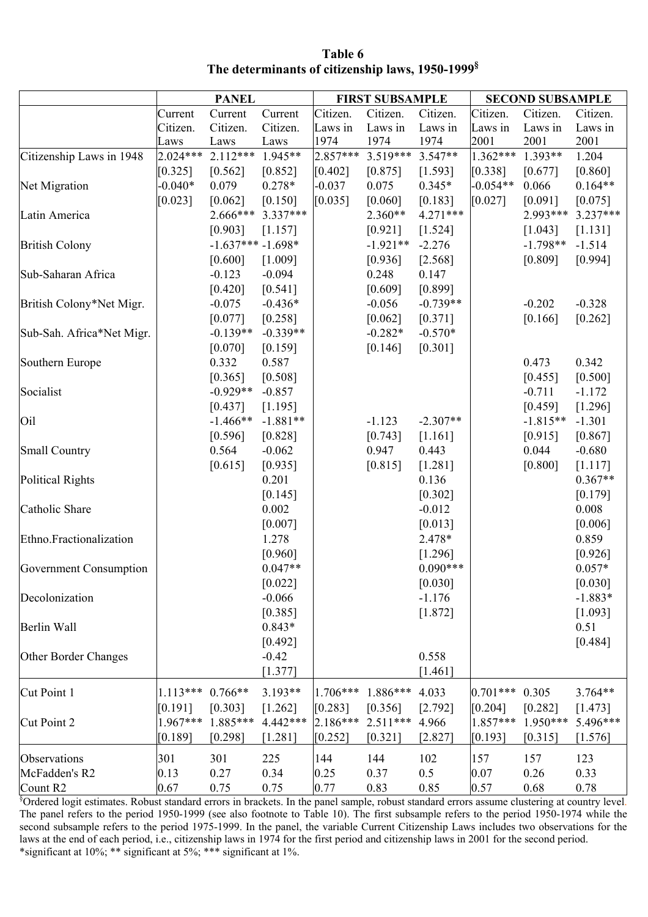| Table 6                                                      |  |  |  |  |  |  |  |  |
|--------------------------------------------------------------|--|--|--|--|--|--|--|--|
| The determinants of citizenship laws, 1950-1999 <sup>§</sup> |  |  |  |  |  |  |  |  |

|                                                                                                                                                                                   |                    | <b>PANEL</b>       |            |            | <b>FIRST SUBSAMPLE</b>  |            | <b>SECOND SUBSAMPLE</b> |                     |            |  |
|-----------------------------------------------------------------------------------------------------------------------------------------------------------------------------------|--------------------|--------------------|------------|------------|-------------------------|------------|-------------------------|---------------------|------------|--|
|                                                                                                                                                                                   | Current            | Current            | Current    | Citizen.   | Citizen.                | Citizen.   | Citizen.                | Citizen.            | Citizen.   |  |
|                                                                                                                                                                                   | Citizen.           | Citizen.           | Citizen.   | Laws in    | Laws in                 | Laws in    | Laws in                 | Laws in             | Laws in    |  |
|                                                                                                                                                                                   | Laws               | Laws               | Laws       | 1974       | 1974                    | 1974       | 2001                    | 2001                | 2001       |  |
| Citizenship Laws in 1948                                                                                                                                                          | $2.024***$         | $2.112***$         | 1.945**    | $2.857***$ | 3.519*** 3.547**        |            | 1.362***                | 1.393**             | 1.204      |  |
|                                                                                                                                                                                   | [0.325]            | [0.562]            | [0.852]    | [0.402]    | [0.875]                 | [1.593]    | [0.338]                 | [0.677]             | [0.860]    |  |
| Net Migration                                                                                                                                                                     | $-0.040*$          | 0.079              | $0.278*$   | $-0.037$   | 0.075                   | $0.345*$   | $-0.054**$              | 0.066               | $0.164**$  |  |
|                                                                                                                                                                                   | [0.023]            | [0.062]            | [0.150]    | [0.035]    | [0.060]                 | [0.183]    | [0.027]                 | [0.091]             | [0.075]    |  |
| Latin America                                                                                                                                                                     |                    | 2.666***           | $3.337***$ |            | $2.360**$               | $4.271***$ |                         | 2.993***            | $3.237***$ |  |
|                                                                                                                                                                                   |                    | [0.903]            | [1.157]    |            | [0.921]                 | [1.524]    |                         | [1.043]             | [1.131]    |  |
| <b>British Colony</b>                                                                                                                                                             |                    | $-1.637***-1.698*$ |            |            | $-1.921**$              | $-2.276$   |                         | $-1.798**$          | $-1.514$   |  |
|                                                                                                                                                                                   |                    | [0.600]            | [1.009]    |            | [0.936]                 | [2.568]    |                         | [0.809]             | [0.994]    |  |
| Sub-Saharan Africa                                                                                                                                                                |                    | $-0.123$           | $-0.094$   |            | 0.248                   | 0.147      |                         |                     |            |  |
|                                                                                                                                                                                   |                    | [0.420]            | [0.541]    |            | [0.609]                 | [0.899]    |                         |                     |            |  |
| British Colony*Net Migr.                                                                                                                                                          |                    | $-0.075$           | $-0.436*$  |            | $-0.056$                | $-0.739**$ |                         | $-0.202$            | $-0.328$   |  |
|                                                                                                                                                                                   |                    | [0.077]            | [0.258]    |            | [0.062]                 | [0.371]    |                         | [0.166]             | [0.262]    |  |
| Sub-Sah. Africa*Net Migr.                                                                                                                                                         |                    | $-0.139**$         | $-0.339**$ |            | $-0.282*$               | $-0.570*$  |                         |                     |            |  |
|                                                                                                                                                                                   |                    | [0.070]            | [0.159]    |            | [0.146]                 | [0.301]    |                         |                     |            |  |
| Southern Europe                                                                                                                                                                   |                    | 0.332              | 0.587      |            |                         |            |                         | 0.473               | 0.342      |  |
|                                                                                                                                                                                   |                    | [0.365]            | [0.508]    |            |                         |            |                         | [0.455]             | [0.500]    |  |
| Socialist                                                                                                                                                                         |                    | $-0.929**$         | $-0.857$   |            |                         |            |                         | $-0.711$            | $-1.172$   |  |
|                                                                                                                                                                                   |                    | [0.437]            | [1.195]    |            |                         |            |                         | [0.459]             | [1.296]    |  |
| Oil                                                                                                                                                                               |                    | $-1.466**$         | $-1.881**$ |            | $-1.123$                | $-2.307**$ |                         | $-1.815**$          | $-1.301$   |  |
|                                                                                                                                                                                   |                    | [0.596]            | [0.828]    |            | [0.743]                 | [1.161]    |                         | [0.915]             | [0.867]    |  |
| <b>Small Country</b>                                                                                                                                                              |                    | 0.564              | $-0.062$   |            | 0.947                   | 0.443      |                         | 0.044               | $-0.680$   |  |
|                                                                                                                                                                                   |                    | [0.615]            | [0.935]    |            | [0.815]                 | [1.281]    |                         | [0.800]             | [1.117]    |  |
| Political Rights                                                                                                                                                                  |                    |                    | 0.201      |            |                         | 0.136      |                         |                     | $0.367**$  |  |
|                                                                                                                                                                                   |                    |                    | [0.145]    |            |                         | [0.302]    |                         |                     | [0.179]    |  |
| Catholic Share                                                                                                                                                                    |                    |                    | 0.002      |            |                         | $-0.012$   |                         |                     | 0.008      |  |
|                                                                                                                                                                                   |                    |                    | [0.007]    |            |                         | [0.013]    |                         |                     | [0.006]    |  |
| Ethno.Fractionalization                                                                                                                                                           |                    |                    | 1.278      |            |                         | 2.478*     |                         |                     | 0.859      |  |
|                                                                                                                                                                                   |                    |                    | [0.960]    |            |                         | [1.296]    |                         |                     | [0.926]    |  |
| Government Consumption                                                                                                                                                            |                    |                    | $0.047**$  |            |                         | $0.090***$ |                         |                     | $0.057*$   |  |
|                                                                                                                                                                                   |                    |                    | [0.022]    |            |                         | [0.030]    |                         |                     | [0.030]    |  |
| Decolonization                                                                                                                                                                    |                    |                    | $-0.066$   |            |                         | $-1.176$   |                         |                     | $-1.883*$  |  |
|                                                                                                                                                                                   |                    |                    | [0.385]    |            |                         | [1.872]    |                         |                     | [1.093]    |  |
| Berlin Wall                                                                                                                                                                       |                    |                    | $0.843*$   |            |                         |            |                         |                     | 0.51       |  |
|                                                                                                                                                                                   |                    |                    | [0.492]    |            |                         |            |                         |                     | [0.484]    |  |
| Other Border Changes                                                                                                                                                              |                    |                    | $-0.42$    |            |                         | 0.558      |                         |                     |            |  |
|                                                                                                                                                                                   |                    |                    | [1.377]    |            |                         | [1.461]    |                         |                     |            |  |
| Cut Point 1                                                                                                                                                                       | $1.113***$ 0.766** |                    | $3.193**$  | $1.706***$ | $1.886***$ 4.033        |            | $0.701***$              | 0.305               | $3.764**$  |  |
|                                                                                                                                                                                   | [0.191]            | [0.303]            | [1.262]    | [0.283]    | [0.356]                 | [2.792]    | [0.204]                 | [0.282]             | [1.473]    |  |
| Cut Point 2                                                                                                                                                                       |                    | 1.967*** 1.885***  | $4.442***$ |            | 2.186*** 2.511*** 4.966 |            | $1.857***$              | $1.950***$ 5.496*** |            |  |
|                                                                                                                                                                                   | [0.189]            | [0.298]            | [1.281]    | [0.252]    | [0.321]                 | [2.827]    | [0.193]                 | [0.315]             | [1.576]    |  |
|                                                                                                                                                                                   |                    |                    |            |            |                         |            |                         |                     |            |  |
| Observations                                                                                                                                                                      | 301                | 301                | 225        | 144        | 144                     | 102        | 157                     | 157                 | 123        |  |
| McFadden's R2                                                                                                                                                                     | 0.13               | 0.27               | 0.34       | 0.25       | 0.37                    | 0.5        | 0.07                    | 0.26                | 0.33       |  |
| Count R <sub>2</sub><br><sup>§</sup> Ordered logit estimates. Robust standard errors in brackets. In the panel sample, robust standard errors assume clustering at country level. | 0.67               | 0.75               | 0.75       | 0.77       | 0.83                    | 0.85       | 0.57                    | 0.68                | 0.78       |  |

The panel refers to the period 1950-1999 (see also footnote to Table 10). The first subsample refers to the period 1950-1974 while the second subsample refers to the period 1975-1999. In the panel, the variable Current Citizenship Laws includes two observations for the laws at the end of each period, i.e., citizenship laws in 1974 for the first period and citizenship laws in 2001 for the second period. \*significant at 10%; \*\* significant at 5%; \*\*\* significant at 1%.